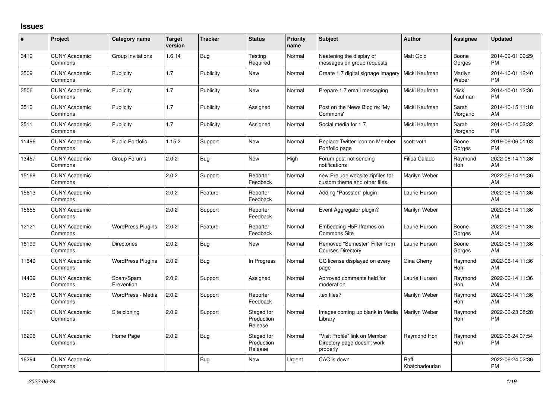## **Issues**

| #     | Project                         | <b>Category name</b>     | <b>Target</b><br>version | <b>Tracker</b> | <b>Status</b>                       | <b>Priority</b><br>name | <b>Subject</b>                                                            | <b>Author</b>           | <b>Assignee</b>  | <b>Updated</b>                |
|-------|---------------------------------|--------------------------|--------------------------|----------------|-------------------------------------|-------------------------|---------------------------------------------------------------------------|-------------------------|------------------|-------------------------------|
| 3419  | <b>CUNY Academic</b><br>Commons | Group Invitations        | 1.6.14                   | Bug            | Testing<br>Required                 | Normal                  | Neatening the display of<br>messages on group requests                    | <b>Matt Gold</b>        | Boone<br>Gorges  | 2014-09-01 09:29<br><b>PM</b> |
| 3509  | <b>CUNY Academic</b><br>Commons | Publicity                | 1.7                      | Publicity      | <b>New</b>                          | Normal                  | Create 1.7 digital signage imagery                                        | Micki Kaufman           | Marilyn<br>Weber | 2014-10-01 12:40<br><b>PM</b> |
| 3506  | <b>CUNY Academic</b><br>Commons | Publicity                | 1.7                      | Publicity      | <b>New</b>                          | Normal                  | Prepare 1.7 email messaging                                               | Micki Kaufman           | Micki<br>Kaufman | 2014-10-01 12:36<br><b>PM</b> |
| 3510  | <b>CUNY Academic</b><br>Commons | Publicity                | 1.7                      | Publicity      | Assigned                            | Normal                  | Post on the News Blog re: 'My<br>Commons'                                 | Micki Kaufman           | Sarah<br>Morgano | 2014-10-15 11:18<br>AM        |
| 3511  | <b>CUNY Academic</b><br>Commons | Publicity                | 1.7                      | Publicity      | Assigned                            | Normal                  | Social media for 1.7                                                      | Micki Kaufman           | Sarah<br>Morgano | 2014-10-14 03:32<br><b>PM</b> |
| 11496 | <b>CUNY Academic</b><br>Commons | <b>Public Portfolio</b>  | 1.15.2                   | Support        | <b>New</b>                          | Normal                  | Replace Twitter Icon on Member<br>Portfolio page                          | scott voth              | Boone<br>Gorges  | 2019-06-06 01:03<br><b>PM</b> |
| 13457 | <b>CUNY Academic</b><br>Commons | Group Forums             | 2.0.2                    | Bug            | <b>New</b>                          | High                    | Forum post not sending<br>notifications                                   | Filipa Calado           | Raymond<br>Hoh   | 2022-06-14 11:36<br>AM        |
| 15169 | <b>CUNY Academic</b><br>Commons |                          | 2.0.2                    | Support        | Reporter<br>Feedback                | Normal                  | new Prelude website zipfiles for<br>custom theme and other files.         | Marilyn Weber           |                  | 2022-06-14 11:36<br>AM        |
| 15613 | <b>CUNY Academic</b><br>Commons |                          | 2.0.2                    | Feature        | Reporter<br>Feedback                | Normal                  | Adding "Passster" plugin                                                  | Laurie Hurson           |                  | 2022-06-14 11:36<br>AM        |
| 15655 | <b>CUNY Academic</b><br>Commons |                          | 2.0.2                    | Support        | Reporter<br>Feedback                | Normal                  | Event Aggregator plugin?                                                  | Marilyn Weber           |                  | 2022-06-14 11:36<br>AM        |
| 12121 | <b>CUNY Academic</b><br>Commons | <b>WordPress Plugins</b> | 2.0.2                    | Feature        | Reporter<br>Feedback                | Normal                  | Embedding H5P Iframes on<br>Commons Site                                  | Laurie Hurson           | Boone<br>Gorges  | 2022-06-14 11:36<br>AM        |
| 16199 | <b>CUNY Academic</b><br>Commons | <b>Directories</b>       | 2.0.2                    | Bug            | <b>New</b>                          | Normal                  | Removed "Semester" Filter from<br><b>Courses Directory</b>                | Laurie Hurson           | Boone<br>Gorges  | 2022-06-14 11:36<br>AM        |
| 11649 | <b>CUNY Academic</b><br>Commons | <b>WordPress Plugins</b> | 2.0.2                    | <b>Bug</b>     | In Progress                         | Normal                  | CC license displayed on every<br>page                                     | Gina Cherry             | Raymond<br>Hoh   | 2022-06-14 11:36<br>AM        |
| 14439 | <b>CUNY Academic</b><br>Commons | Spam/Spam<br>Prevention  | 2.0.2                    | Support        | Assigned                            | Normal                  | Aprroved comments held for<br>moderation                                  | Laurie Hurson           | Raymond<br>Hoh   | 2022-06-14 11:36<br>AM        |
| 15978 | <b>CUNY Academic</b><br>Commons | WordPress - Media        | 2.0.2                    | Support        | Reporter<br>Feedback                | Normal                  | tex files?                                                                | Marilyn Weber           | Raymond<br>Hoh   | 2022-06-14 11:36<br>AM        |
| 16291 | <b>CUNY Academic</b><br>Commons | Site cloning             | 2.0.2                    | Support        | Staged for<br>Production<br>Release | Normal                  | Images coming up blank in Media<br>Library                                | Marilyn Weber           | Raymond<br>Hoh   | 2022-06-23 08:28<br>PM        |
| 16296 | <b>CUNY Academic</b><br>Commons | Home Page                | 2.0.2                    | Bug            | Staged for<br>Production<br>Release | Normal                  | "Visit Profile" link on Member<br>Directory page doesn't work<br>properly | Raymond Hoh             | Raymond<br>Hoh   | 2022-06-24 07:54<br><b>PM</b> |
| 16294 | <b>CUNY Academic</b><br>Commons |                          |                          | <b>Bug</b>     | <b>New</b>                          | Urgent                  | CAC is down                                                               | Raffi<br>Khatchadourian |                  | 2022-06-24 02:36<br><b>PM</b> |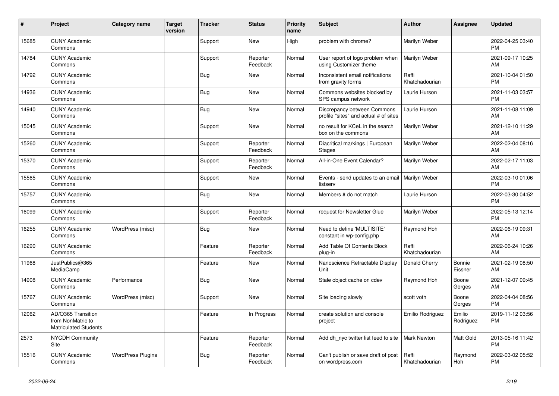| #     | Project                                                                 | <b>Category name</b>     | <b>Target</b><br>version | <b>Tracker</b> | <b>Status</b>        | <b>Priority</b><br>name | <b>Subject</b>                                                       | Author                  | <b>Assignee</b>     | <b>Updated</b>                |
|-------|-------------------------------------------------------------------------|--------------------------|--------------------------|----------------|----------------------|-------------------------|----------------------------------------------------------------------|-------------------------|---------------------|-------------------------------|
| 15685 | <b>CUNY Academic</b><br>Commons                                         |                          |                          | Support        | New                  | High                    | problem with chrome?                                                 | Marilyn Weber           |                     | 2022-04-25 03:40<br><b>PM</b> |
| 14784 | <b>CUNY Academic</b><br>Commons                                         |                          |                          | Support        | Reporter<br>Feedback | Normal                  | User report of logo problem when<br>using Customizer theme           | Marilyn Weber           |                     | 2021-09-17 10:25<br>AM        |
| 14792 | <b>CUNY Academic</b><br>Commons                                         |                          |                          | Bug            | <b>New</b>           | Normal                  | Inconsistent email notifications<br>from gravity forms               | Raffi<br>Khatchadourian |                     | 2021-10-04 01:50<br><b>PM</b> |
| 14936 | <b>CUNY Academic</b><br>Commons                                         |                          |                          | Bug            | New                  | Normal                  | Commons websites blocked by<br>SPS campus network                    | Laurie Hurson           |                     | 2021-11-03 03:57<br><b>PM</b> |
| 14940 | <b>CUNY Academic</b><br>Commons                                         |                          |                          | <b>Bug</b>     | <b>New</b>           | Normal                  | Discrepancy between Commons<br>profile "sites" and actual # of sites | Laurie Hurson           |                     | 2021-11-08 11:09<br>AM        |
| 15045 | <b>CUNY Academic</b><br>Commons                                         |                          |                          | Support        | <b>New</b>           | Normal                  | no result for KCeL in the search<br>box on the commons               | Marilyn Weber           |                     | 2021-12-10 11:29<br>AM        |
| 15260 | <b>CUNY Academic</b><br>Commons                                         |                          |                          | Support        | Reporter<br>Feedback | Normal                  | Diacritical markings   European<br><b>Stages</b>                     | Marilyn Weber           |                     | 2022-02-04 08:16<br>AM        |
| 15370 | <b>CUNY Academic</b><br>Commons                                         |                          |                          | Support        | Reporter<br>Feedback | Normal                  | All-in-One Event Calendar?                                           | Marilyn Weber           |                     | 2022-02-17 11:03<br>AM        |
| 15565 | <b>CUNY Academic</b><br>Commons                                         |                          |                          | Support        | <b>New</b>           | Normal                  | Events - send updates to an email<br>listserv                        | Marilyn Weber           |                     | 2022-03-10 01:06<br><b>PM</b> |
| 15757 | <b>CUNY Academic</b><br>Commons                                         |                          |                          | Bug            | <b>New</b>           | Normal                  | Members # do not match                                               | Laurie Hurson           |                     | 2022-03-30 04:52<br><b>PM</b> |
| 16099 | <b>CUNY Academic</b><br>Commons                                         |                          |                          | Support        | Reporter<br>Feedback | Normal                  | request for Newsletter Glue                                          | Marilyn Weber           |                     | 2022-05-13 12:14<br><b>PM</b> |
| 16255 | <b>CUNY Academic</b><br>Commons                                         | WordPress (misc)         |                          | <b>Bug</b>     | New                  | Normal                  | Need to define 'MULTISITE'<br>constant in wp-config.php              | Raymond Hoh             |                     | 2022-06-19 09:31<br>AM        |
| 16290 | <b>CUNY Academic</b><br>Commons                                         |                          |                          | Feature        | Reporter<br>Feedback | Normal                  | Add Table Of Contents Block<br>plug-in                               | Raffi<br>Khatchadourian |                     | 2022-06-24 10:26<br>AM        |
| 11968 | JustPublics@365<br>MediaCamp                                            |                          |                          | Feature        | <b>New</b>           | Normal                  | Nanoscience Retractable Display<br>Unit                              | Donald Cherry           | Bonnie<br>Eissner   | 2021-02-19 08:50<br>AM        |
| 14908 | <b>CUNY Academic</b><br>Commons                                         | Performance              |                          | <b>Bug</b>     | <b>New</b>           | Normal                  | Stale object cache on cdev                                           | Raymond Hoh             | Boone<br>Gorges     | 2021-12-07 09:45<br>AM        |
| 15767 | <b>CUNY Academic</b><br>Commons                                         | WordPress (misc)         |                          | Support        | <b>New</b>           | Normal                  | Site loading slowly                                                  | scott voth              | Boone<br>Gorges     | 2022-04-04 08:56<br><b>PM</b> |
| 12062 | AD/O365 Transition<br>from NonMatric to<br><b>Matriculated Students</b> |                          |                          | Feature        | In Progress          | Normal                  | create solution and console<br>project                               | Emilio Rodriguez        | Emilio<br>Rodriguez | 2019-11-12 03:56<br><b>PM</b> |
| 2573  | <b>NYCDH Community</b><br>Site                                          |                          |                          | Feature        | Reporter<br>Feedback | Normal                  | Add dh nyc twitter list feed to site                                 | <b>Mark Newton</b>      | Matt Gold           | 2013-05-16 11:42<br><b>PM</b> |
| 15516 | <b>CUNY Academic</b><br>Commons                                         | <b>WordPress Plugins</b> |                          | Bug            | Reporter<br>Feedback | Normal                  | Can't publish or save draft of post<br>on wordpress.com              | Raffi<br>Khatchadourian | Raymond<br>Hoh      | 2022-03-02 05:52<br><b>PM</b> |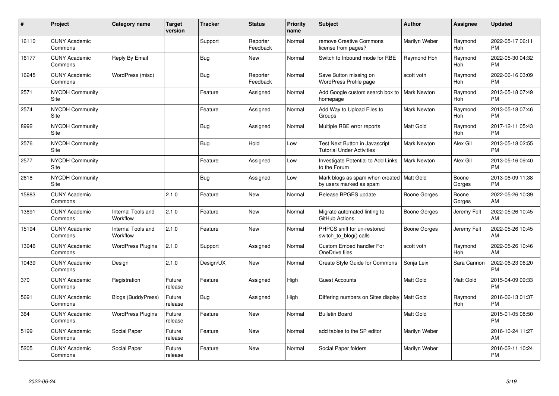| #     | Project                         | Category name                  | <b>Target</b><br>version | <b>Tracker</b> | <b>Status</b>        | <b>Priority</b><br>name | <b>Subject</b>                                                         | <b>Author</b>       | <b>Assignee</b>       | <b>Updated</b>                |
|-------|---------------------------------|--------------------------------|--------------------------|----------------|----------------------|-------------------------|------------------------------------------------------------------------|---------------------|-----------------------|-------------------------------|
| 16110 | <b>CUNY Academic</b><br>Commons |                                |                          | Support        | Reporter<br>Feedback | Normal                  | remove Creative Commons<br>license from pages?                         | Marilyn Weber       | Raymond<br>Hoh        | 2022-05-17 06:11<br><b>PM</b> |
| 16177 | <b>CUNY Academic</b><br>Commons | Reply By Email                 |                          | Bug            | New                  | Normal                  | Switch to Inbound mode for RBE                                         | Raymond Hoh         | Raymond<br>Hoh        | 2022-05-30 04:32<br><b>PM</b> |
| 16245 | <b>CUNY Academic</b><br>Commons | WordPress (misc)               |                          | <b>Bug</b>     | Reporter<br>Feedback | Normal                  | Save Button missing on<br>WordPress Profile page                       | scott voth          | Raymond<br>Hoh        | 2022-06-16 03:09<br>РM        |
| 2571  | <b>NYCDH Community</b><br>Site  |                                |                          | Feature        | Assigned             | Normal                  | Add Google custom search box to<br>homepage                            | <b>Mark Newton</b>  | Raymond<br>Hoh        | 2013-05-18 07:49<br>PM        |
| 2574  | <b>NYCDH Community</b><br>Site  |                                |                          | Feature        | Assigned             | Normal                  | Add Way to Upload Files to<br>Groups                                   | Mark Newton         | Raymond<br><b>Hoh</b> | 2013-05-18 07:46<br><b>PM</b> |
| 8992  | <b>NYCDH Community</b><br>Site  |                                |                          | Bug            | Assigned             | Normal                  | Multiple RBE error reports                                             | Matt Gold           | Raymond<br>Hoh        | 2017-12-11 05:43<br>РM        |
| 2576  | <b>NYCDH Community</b><br>Site  |                                |                          | Bug            | Hold                 | Low                     | Test Next Button in Javascript<br><b>Tutorial Under Activities</b>     | <b>Mark Newton</b>  | Alex Gil              | 2013-05-18 02:55<br><b>PM</b> |
| 2577  | <b>NYCDH Community</b><br>Site  |                                |                          | Feature        | Assigned             | Low                     | Investigate Potential to Add Links<br>to the Forum                     | <b>Mark Newton</b>  | Alex Gil              | 2013-05-16 09:40<br><b>PM</b> |
| 2618  | <b>NYCDH Community</b><br>Site  |                                |                          | <b>Bug</b>     | Assigned             | Low                     | Mark blogs as spam when created   Matt Gold<br>by users marked as spam |                     | Boone<br>Gorges       | 2013-06-09 11:38<br><b>PM</b> |
| 15883 | <b>CUNY Academic</b><br>Commons |                                | 2.1.0                    | Feature        | New                  | Normal                  | Release BPGES update                                                   | <b>Boone Gorges</b> | Boone<br>Gorges       | 2022-05-26 10:39<br>AM        |
| 13891 | <b>CUNY Academic</b><br>Commons | Internal Tools and<br>Workflow | 2.1.0                    | Feature        | New                  | Normal                  | Migrate automated linting to<br>GitHub Actions                         | Boone Gorges        | Jeremy Felt           | 2022-05-26 10:45<br>AM        |
| 15194 | <b>CUNY Academic</b><br>Commons | Internal Tools and<br>Workflow | 2.1.0                    | Feature        | New                  | Normal                  | PHPCS sniff for un-restored<br>switch_to_blog() calls                  | Boone Gorges        | Jeremy Felt           | 2022-05-26 10:45<br>AM        |
| 13946 | <b>CUNY Academic</b><br>Commons | <b>WordPress Plugins</b>       | 2.1.0                    | Support        | Assigned             | Normal                  | Custom Embed handler For<br>OneDrive files                             | scott voth          | Raymond<br>Hoh        | 2022-05-26 10:46<br>AM        |
| 10439 | <b>CUNY Academic</b><br>Commons | Design                         | 2.1.0                    | Design/UX      | New                  | Normal                  | Create Style Guide for Commons                                         | Sonja Leix          | Sara Cannon           | 2022-06-23 06:20<br>PM        |
| 370   | <b>CUNY Academic</b><br>Commons | Registration                   | Future<br>release        | Feature        | Assigned             | High                    | <b>Guest Accounts</b>                                                  | Matt Gold           | Matt Gold             | 2015-04-09 09:33<br><b>PM</b> |
| 5691  | <b>CUNY Academic</b><br>Commons | <b>Blogs (BuddyPress)</b>      | Future<br>release        | <b>Bug</b>     | Assigned             | High                    | Differing numbers on Sites display                                     | <b>Matt Gold</b>    | Raymond<br>Hoh        | 2016-06-13 01:37<br><b>PM</b> |
| 364   | <b>CUNY Academic</b><br>Commons | <b>WordPress Plugins</b>       | Future<br>release        | Feature        | New                  | Normal                  | <b>Bulletin Board</b>                                                  | Matt Gold           |                       | 2015-01-05 08:50<br><b>PM</b> |
| 5199  | <b>CUNY Academic</b><br>Commons | Social Paper                   | Future<br>release        | Feature        | New                  | Normal                  | add tables to the SP editor                                            | Marilyn Weber       |                       | 2016-10-24 11:27<br>AM        |
| 5205  | <b>CUNY Academic</b><br>Commons | Social Paper                   | Future<br>release        | Feature        | <b>New</b>           | Normal                  | Social Paper folders                                                   | Marilyn Weber       |                       | 2016-02-11 10:24<br>PM        |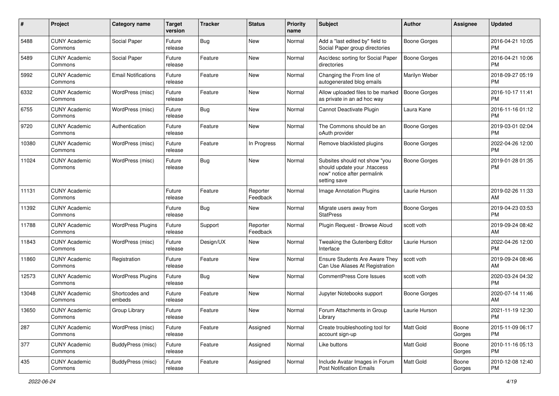| #     | Project                         | <b>Category name</b>       | <b>Target</b><br>version | <b>Tracker</b> | <b>Status</b>        | <b>Priority</b><br>name | Subject                                                                                                      | Author              | <b>Assignee</b> | <b>Updated</b>                |
|-------|---------------------------------|----------------------------|--------------------------|----------------|----------------------|-------------------------|--------------------------------------------------------------------------------------------------------------|---------------------|-----------------|-------------------------------|
| 5488  | <b>CUNY Academic</b><br>Commons | Social Paper               | Future<br>release        | <b>Bug</b>     | <b>New</b>           | Normal                  | Add a "last edited by" field to<br>Social Paper group directories                                            | <b>Boone Gorges</b> |                 | 2016-04-21 10:05<br>PM        |
| 5489  | <b>CUNY Academic</b><br>Commons | Social Paper               | Future<br>release        | Feature        | New                  | Normal                  | Asc/desc sorting for Social Paper<br>directories                                                             | <b>Boone Gorges</b> |                 | 2016-04-21 10:06<br><b>PM</b> |
| 5992  | <b>CUNY Academic</b><br>Commons | <b>Email Notifications</b> | Future<br>release        | Feature        | New                  | Normal                  | Changing the From line of<br>autogenerated blog emails                                                       | Marilyn Weber       |                 | 2018-09-27 05:19<br><b>PM</b> |
| 6332  | <b>CUNY Academic</b><br>Commons | WordPress (misc)           | Future<br>release        | Feature        | <b>New</b>           | Normal                  | Allow uploaded files to be marked<br>as private in an ad hoc way                                             | <b>Boone Gorges</b> |                 | 2016-10-17 11:41<br><b>PM</b> |
| 6755  | <b>CUNY Academic</b><br>Commons | WordPress (misc)           | Future<br>release        | Bug            | <b>New</b>           | Normal                  | Cannot Deactivate Plugin                                                                                     | Laura Kane          |                 | 2016-11-16 01:12<br><b>PM</b> |
| 9720  | <b>CUNY Academic</b><br>Commons | Authentication             | Future<br>release        | Feature        | New                  | Normal                  | The Commons should be an<br>oAuth provider                                                                   | <b>Boone Gorges</b> |                 | 2019-03-01 02:04<br><b>PM</b> |
| 10380 | <b>CUNY Academic</b><br>Commons | WordPress (misc)           | Future<br>release        | Feature        | In Progress          | Normal                  | Remove blacklisted plugins                                                                                   | <b>Boone Gorges</b> |                 | 2022-04-26 12:00<br><b>PM</b> |
| 11024 | <b>CUNY Academic</b><br>Commons | WordPress (misc)           | Future<br>release        | Bug            | <b>New</b>           | Normal                  | Subsites should not show "you<br>should update your .htaccess<br>now" notice after permalink<br>setting save | <b>Boone Gorges</b> |                 | 2019-01-28 01:35<br>PM        |
| 11131 | <b>CUNY Academic</b><br>Commons |                            | Future<br>release        | Feature        | Reporter<br>Feedback | Normal                  | <b>Image Annotation Plugins</b>                                                                              | Laurie Hurson       |                 | 2019-02-26 11:33<br>AM        |
| 11392 | <b>CUNY Academic</b><br>Commons |                            | Future<br>release        | Bug            | New                  | Normal                  | Migrate users away from<br><b>StatPress</b>                                                                  | <b>Boone Gorges</b> |                 | 2019-04-23 03:53<br><b>PM</b> |
| 11788 | <b>CUNY Academic</b><br>Commons | <b>WordPress Plugins</b>   | Future<br>release        | Support        | Reporter<br>Feedback | Normal                  | Plugin Request - Browse Aloud                                                                                | scott voth          |                 | 2019-09-24 08:42<br>AM        |
| 11843 | <b>CUNY Academic</b><br>Commons | WordPress (misc)           | Future<br>release        | Design/UX      | New                  | Normal                  | Tweaking the Gutenberg Editor<br>Interface                                                                   | Laurie Hurson       |                 | 2022-04-26 12:00<br>PM        |
| 11860 | <b>CUNY Academic</b><br>Commons | Registration               | Future<br>release        | Feature        | <b>New</b>           | Normal                  | <b>Ensure Students Are Aware They</b><br>Can Use Aliases At Registration                                     | scott voth          |                 | 2019-09-24 08:46<br>AM        |
| 12573 | <b>CUNY Academic</b><br>Commons | <b>WordPress Plugins</b>   | Future<br>release        | <b>Bug</b>     | <b>New</b>           | Normal                  | <b>CommentPress Core Issues</b>                                                                              | scott voth          |                 | 2020-03-24 04:32<br><b>PM</b> |
| 13048 | <b>CUNY Academic</b><br>Commons | Shortcodes and<br>embeds   | Future<br>release        | Feature        | New                  | Normal                  | Jupyter Notebooks support                                                                                    | <b>Boone Gorges</b> |                 | 2020-07-14 11:46<br>AM        |
| 13650 | <b>CUNY Academic</b><br>Commons | Group Library              | Future<br>release        | Feature        | New                  | Normal                  | Forum Attachments in Group<br>Library                                                                        | Laurie Hurson       |                 | 2021-11-19 12:30<br>PM        |
| 287   | <b>CUNY Academic</b><br>Commons | WordPress (misc)           | Future<br>release        | Feature        | Assigned             | Normal                  | Create troubleshooting tool for<br>account sign-up                                                           | Matt Gold           | Boone<br>Gorges | 2015-11-09 06:17<br>PM        |
| 377   | <b>CUNY Academic</b><br>Commons | BuddyPress (misc)          | Future<br>release        | Feature        | Assigned             | Normal                  | Like buttons                                                                                                 | Matt Gold           | Boone<br>Gorges | 2010-11-16 05:13<br><b>PM</b> |
| 435   | <b>CUNY Academic</b><br>Commons | BuddyPress (misc)          | Future<br>release        | Feature        | Assigned             | Normal                  | Include Avatar Images in Forum<br><b>Post Notification Emails</b>                                            | Matt Gold           | Boone<br>Gorges | 2010-12-08 12:40<br><b>PM</b> |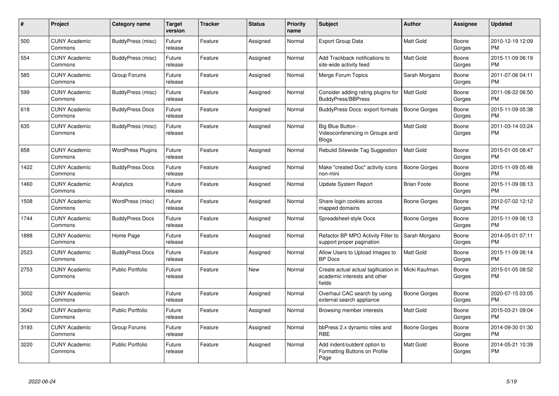| #    | Project                         | Category name            | <b>Target</b><br>version | <b>Tracker</b> | <b>Status</b> | <b>Priority</b><br>name | <b>Subject</b>                                                                 | <b>Author</b>       | Assignee        | <b>Updated</b>                |
|------|---------------------------------|--------------------------|--------------------------|----------------|---------------|-------------------------|--------------------------------------------------------------------------------|---------------------|-----------------|-------------------------------|
| 500  | <b>CUNY Academic</b><br>Commons | BuddyPress (misc)        | Future<br>release        | Feature        | Assigned      | Normal                  | <b>Export Group Data</b>                                                       | Matt Gold           | Boone<br>Gorges | 2010-12-19 12:09<br><b>PM</b> |
| 554  | <b>CUNY Academic</b><br>Commons | BuddyPress (misc)        | Future<br>release        | Feature        | Assigned      | Normal                  | Add Trackback notifications to<br>site-wide activity feed                      | <b>Matt Gold</b>    | Boone<br>Gorges | 2015-11-09 06:19<br><b>PM</b> |
| 585  | <b>CUNY Academic</b><br>Commons | Group Forums             | Future<br>release        | Feature        | Assigned      | Normal                  | Merge Forum Topics                                                             | Sarah Morgano       | Boone<br>Gorges | 2011-07-06 04:11<br><b>PM</b> |
| 599  | <b>CUNY Academic</b><br>Commons | BuddyPress (misc)        | Future<br>release        | Feature        | Assigned      | Normal                  | Consider adding rating plugins for<br>BuddyPress/BBPress                       | Matt Gold           | Boone<br>Gorges | 2011-08-22 06:50<br><b>PM</b> |
| 618  | <b>CUNY Academic</b><br>Commons | <b>BuddyPress Docs</b>   | Future<br>release        | Feature        | Assigned      | Normal                  | <b>BuddyPress Docs: export formats</b>                                         | <b>Boone Gorges</b> | Boone<br>Gorges | 2015-11-09 05:38<br><b>PM</b> |
| 635  | <b>CUNY Academic</b><br>Commons | BuddyPress (misc)        | Future<br>release        | Feature        | Assigned      | Normal                  | Big Blue Button -<br>Videoconferencing in Groups and<br><b>Blogs</b>           | <b>Matt Gold</b>    | Boone<br>Gorges | 2011-03-14 03:24<br><b>PM</b> |
| 658  | <b>CUNY Academic</b><br>Commons | <b>WordPress Plugins</b> | Future<br>release        | Feature        | Assigned      | Normal                  | Rebulid Sitewide Tag Suggestion                                                | <b>Matt Gold</b>    | Boone<br>Gorges | 2015-01-05 08:47<br><b>PM</b> |
| 1422 | <b>CUNY Academic</b><br>Commons | <b>BuddyPress Docs</b>   | Future<br>release        | Feature        | Assigned      | Normal                  | Make "created Doc" activity icons<br>non-mini                                  | Boone Gorges        | Boone<br>Gorges | 2015-11-09 05:48<br><b>PM</b> |
| 1460 | <b>CUNY Academic</b><br>Commons | Analytics                | Future<br>release        | Feature        | Assigned      | Normal                  | Update System Report                                                           | <b>Brian Foote</b>  | Boone<br>Gorges | 2015-11-09 06:13<br><b>PM</b> |
| 1508 | <b>CUNY Academic</b><br>Commons | WordPress (misc)         | Future<br>release        | Feature        | Assigned      | Normal                  | Share login cookies across<br>mapped domains                                   | <b>Boone Gorges</b> | Boone<br>Gorges | 2012-07-02 12:12<br><b>PM</b> |
| 1744 | <b>CUNY Academic</b><br>Commons | <b>BuddyPress Docs</b>   | Future<br>release        | Feature        | Assigned      | Normal                  | Spreadsheet-style Docs                                                         | <b>Boone Gorges</b> | Boone<br>Gorges | 2015-11-09 06:13<br>PM        |
| 1888 | <b>CUNY Academic</b><br>Commons | Home Page                | Future<br>release        | Feature        | Assigned      | Normal                  | Refactor BP MPO Activity Filter to<br>support proper pagination                | Sarah Morgano       | Boone<br>Gorges | 2014-05-01 07:11<br><b>PM</b> |
| 2523 | <b>CUNY Academic</b><br>Commons | <b>BuddyPress Docs</b>   | Future<br>release        | Feature        | Assigned      | Normal                  | Allow Users to Upload Images to<br><b>BP</b> Docs                              | <b>Matt Gold</b>    | Boone<br>Gorges | 2015-11-09 06:14<br><b>PM</b> |
| 2753 | <b>CUNY Academic</b><br>Commons | <b>Public Portfolio</b>  | Future<br>release        | Feature        | <b>New</b>    | Normal                  | Create actual actual tagification in<br>academic interests and other<br>fields | Micki Kaufman       | Boone<br>Gorges | 2015-01-05 08:52<br><b>PM</b> |
| 3002 | <b>CUNY Academic</b><br>Commons | Search                   | Future<br>release        | Feature        | Assigned      | Normal                  | Overhaul CAC search by using<br>external search appliance                      | <b>Boone Gorges</b> | Boone<br>Gorges | 2020-07-15 03:05<br><b>PM</b> |
| 3042 | <b>CUNY Academic</b><br>Commons | <b>Public Portfolio</b>  | Future<br>release        | Feature        | Assigned      | Normal                  | Browsing member interests                                                      | <b>Matt Gold</b>    | Boone<br>Gorges | 2015-03-21 09:04<br>PM        |
| 3193 | <b>CUNY Academic</b><br>Commons | Group Forums             | Future<br>release        | Feature        | Assigned      | Normal                  | bbPress 2.x dynamic roles and<br><b>RBE</b>                                    | Boone Gorges        | Boone<br>Gorges | 2014-09-30 01:30<br><b>PM</b> |
| 3220 | <b>CUNY Academic</b><br>Commons | <b>Public Portfolio</b>  | Future<br>release        | Feature        | Assigned      | Normal                  | Add indent/outdent option to<br>Formatting Buttons on Profile<br>Page          | <b>Matt Gold</b>    | Boone<br>Gorges | 2014-05-21 10:39<br><b>PM</b> |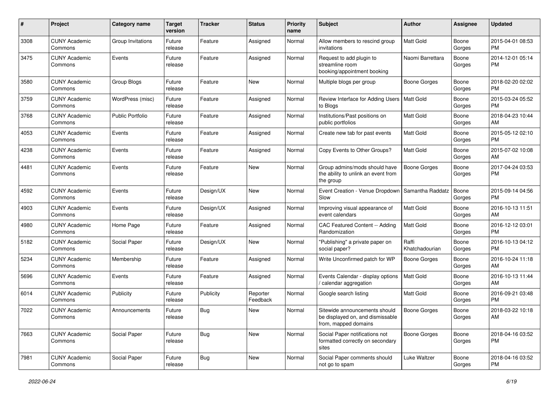| #    | Project                         | <b>Category name</b> | <b>Target</b><br>version | <b>Tracker</b> | <b>Status</b>        | <b>Priority</b><br>name | Subject                                                                                   | Author                  | <b>Assignee</b> | <b>Updated</b>                |
|------|---------------------------------|----------------------|--------------------------|----------------|----------------------|-------------------------|-------------------------------------------------------------------------------------------|-------------------------|-----------------|-------------------------------|
| 3308 | <b>CUNY Academic</b><br>Commons | Group Invitations    | Future<br>release        | Feature        | Assigned             | Normal                  | Allow members to rescind group<br>invitations                                             | <b>Matt Gold</b>        | Boone<br>Gorges | 2015-04-01 08:53<br><b>PM</b> |
| 3475 | <b>CUNY Academic</b><br>Commons | Events               | Future<br>release        | Feature        | Assigned             | Normal                  | Request to add plugin to<br>streamline room<br>booking/appointment booking                | Naomi Barrettara        | Boone<br>Gorges | 2014-12-01 05:14<br>PM        |
| 3580 | <b>CUNY Academic</b><br>Commons | Group Blogs          | Future<br>release        | Feature        | New                  | Normal                  | Multiple blogs per group                                                                  | <b>Boone Gorges</b>     | Boone<br>Gorges | 2018-02-20 02:02<br>PM        |
| 3759 | <b>CUNY Academic</b><br>Commons | WordPress (misc)     | Future<br>release        | Feature        | Assigned             | Normal                  | Review Interface for Adding Users   Matt Gold<br>to Blogs                                 |                         | Boone<br>Gorges | 2015-03-24 05:52<br>PM        |
| 3768 | <b>CUNY Academic</b><br>Commons | Public Portfolio     | Future<br>release        | Feature        | Assigned             | Normal                  | Institutions/Past positions on<br>public portfolios                                       | <b>Matt Gold</b>        | Boone<br>Gorges | 2018-04-23 10:44<br>AM        |
| 4053 | <b>CUNY Academic</b><br>Commons | Events               | Future<br>release        | Feature        | Assigned             | Normal                  | Create new tab for past events                                                            | <b>Matt Gold</b>        | Boone<br>Gorges | 2015-05-12 02:10<br><b>PM</b> |
| 4238 | <b>CUNY Academic</b><br>Commons | Events               | Future<br>release        | Feature        | Assigned             | Normal                  | Copy Events to Other Groups?                                                              | Matt Gold               | Boone<br>Gorges | 2015-07-02 10:08<br>AM        |
| 4481 | <b>CUNY Academic</b><br>Commons | Events               | Future<br>release        | Feature        | New                  | Normal                  | Group admins/mods should have<br>the ability to unlink an event from<br>the group         | <b>Boone Gorges</b>     | Boone<br>Gorges | 2017-04-24 03:53<br>PM        |
| 4592 | <b>CUNY Academic</b><br>Commons | Events               | Future<br>release        | Design/UX      | New                  | Normal                  | Event Creation - Venue Dropdown<br>Slow                                                   | Samantha Raddatz        | Boone<br>Gorges | 2015-09-14 04:56<br>PM        |
| 4903 | <b>CUNY Academic</b><br>Commons | Events               | Future<br>release        | Design/UX      | Assigned             | Normal                  | Improving visual appearance of<br>event calendars                                         | <b>Matt Gold</b>        | Boone<br>Gorges | 2016-10-13 11:51<br>AM        |
| 4980 | <b>CUNY Academic</b><br>Commons | Home Page            | Future<br>release        | Feature        | Assigned             | Normal                  | CAC Featured Content -- Adding<br>Randomization                                           | <b>Matt Gold</b>        | Boone<br>Gorges | 2016-12-12 03:01<br><b>PM</b> |
| 5182 | <b>CUNY Academic</b><br>Commons | Social Paper         | Future<br>release        | Design/UX      | New                  | Normal                  | "Publishing" a private paper on<br>social paper?                                          | Raffi<br>Khatchadourian | Boone<br>Gorges | 2016-10-13 04:12<br>PM        |
| 5234 | <b>CUNY Academic</b><br>Commons | Membership           | Future<br>release        | Feature        | Assigned             | Normal                  | Write Unconfirmed patch for WP                                                            | <b>Boone Gorges</b>     | Boone<br>Gorges | 2016-10-24 11:18<br>AM        |
| 5696 | <b>CUNY Academic</b><br>Commons | Events               | Future<br>release        | Feature        | Assigned             | Normal                  | Events Calendar - display options<br>/ calendar aggregation                               | <b>Matt Gold</b>        | Boone<br>Gorges | 2016-10-13 11:44<br>AM        |
| 6014 | <b>CUNY Academic</b><br>Commons | Publicity            | Future<br>release        | Publicity      | Reporter<br>Feedback | Normal                  | Google search listing                                                                     | Matt Gold               | Boone<br>Gorges | 2016-09-21 03:48<br><b>PM</b> |
| 7022 | <b>CUNY Academic</b><br>Commons | Announcements        | Future<br>release        | Bug            | New                  | Normal                  | Sitewide announcements should<br>be displayed on, and dismissable<br>from, mapped domains | Boone Gorges            | Boone<br>Gorges | 2018-03-22 10:18<br>AM        |
| 7663 | <b>CUNY Academic</b><br>Commons | Social Paper         | Future<br>release        | <b>Bug</b>     | New                  | Normal                  | Social Paper notifications not<br>formatted correctly on secondary<br>sites               | Boone Gorges            | Boone<br>Gorges | 2018-04-16 03:52<br>PM        |
| 7981 | <b>CUNY Academic</b><br>Commons | Social Paper         | Future<br>release        | <b>Bug</b>     | New                  | Normal                  | Social Paper comments should<br>not go to spam                                            | Luke Waltzer            | Boone<br>Gorges | 2018-04-16 03:52<br>PM        |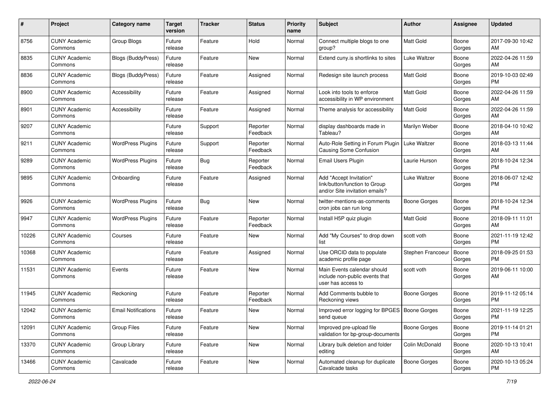| #     | Project                         | <b>Category name</b>       | <b>Target</b><br>version | <b>Tracker</b> | <b>Status</b>        | <b>Priority</b><br>name | Subject                                                                                    | Author              | <b>Assignee</b> | <b>Updated</b>                |
|-------|---------------------------------|----------------------------|--------------------------|----------------|----------------------|-------------------------|--------------------------------------------------------------------------------------------|---------------------|-----------------|-------------------------------|
| 8756  | <b>CUNY Academic</b><br>Commons | <b>Group Blogs</b>         | Future<br>release        | Feature        | Hold                 | Normal                  | Connect multiple blogs to one<br>group?                                                    | <b>Matt Gold</b>    | Boone<br>Gorges | 2017-09-30 10:42<br>AM        |
| 8835  | <b>CUNY Academic</b><br>Commons | Blogs (BuddyPress)         | Future<br>release        | Feature        | New                  | Normal                  | Extend cuny is shortlinks to sites                                                         | <b>Luke Waltzer</b> | Boone<br>Gorges | 2022-04-26 11:59<br>AM        |
| 8836  | <b>CUNY Academic</b><br>Commons | <b>Blogs (BuddyPress)</b>  | Future<br>release        | Feature        | Assigned             | Normal                  | Redesign site launch process                                                               | Matt Gold           | Boone<br>Gorges | 2019-10-03 02:49<br><b>PM</b> |
| 8900  | <b>CUNY Academic</b><br>Commons | Accessibility              | Future<br>release        | Feature        | Assigned             | Normal                  | Look into tools to enforce<br>accessibility in WP environment                              | <b>Matt Gold</b>    | Boone<br>Gorges | 2022-04-26 11:59<br>AM        |
| 8901  | <b>CUNY Academic</b><br>Commons | Accessibility              | Future<br>release        | Feature        | Assigned             | Normal                  | Theme analysis for accessibility                                                           | <b>Matt Gold</b>    | Boone<br>Gorges | 2022-04-26 11:59<br>AM        |
| 9207  | <b>CUNY Academic</b><br>Commons |                            | Future<br>release        | Support        | Reporter<br>Feedback | Normal                  | display dashboards made in<br>Tableau?                                                     | Marilyn Weber       | Boone<br>Gorges | 2018-04-10 10:42<br>AM        |
| 9211  | <b>CUNY Academic</b><br>Commons | <b>WordPress Plugins</b>   | Future<br>release        | Support        | Reporter<br>Feedback | Normal                  | Auto-Role Setting in Forum Plugin<br><b>Causing Some Confusion</b>                         | Luke Waltzer        | Boone<br>Gorges | 2018-03-13 11:44<br>AM        |
| 9289  | <b>CUNY Academic</b><br>Commons | <b>WordPress Plugins</b>   | Future<br>release        | Bug            | Reporter<br>Feedback | Normal                  | <b>Email Users Plugin</b>                                                                  | Laurie Hurson       | Boone<br>Gorges | 2018-10-24 12:34<br><b>PM</b> |
| 9895  | <b>CUNY Academic</b><br>Commons | Onboarding                 | Future<br>release        | Feature        | Assigned             | Normal                  | Add "Accept Invitation"<br>link/button/function to Group<br>and/or Site invitation emails? | Luke Waltzer        | Boone<br>Gorges | 2018-06-07 12:42<br><b>PM</b> |
| 9926  | <b>CUNY Academic</b><br>Commons | <b>WordPress Plugins</b>   | Future<br>release        | <b>Bug</b>     | <b>New</b>           | Normal                  | twitter-mentions-as-comments<br>cron jobs can run long                                     | Boone Gorges        | Boone<br>Gorges | 2018-10-24 12:34<br><b>PM</b> |
| 9947  | <b>CUNY Academic</b><br>Commons | <b>WordPress Plugins</b>   | Future<br>release        | Feature        | Reporter<br>Feedback | Normal                  | Install H5P quiz plugin                                                                    | <b>Matt Gold</b>    | Boone<br>Gorges | 2018-09-11 11:01<br>AM        |
| 10226 | <b>CUNY Academic</b><br>Commons | Courses                    | Future<br>release        | Feature        | New                  | Normal                  | Add "My Courses" to drop down<br>list                                                      | scott voth          | Boone<br>Gorges | 2021-11-19 12:42<br><b>PM</b> |
| 10368 | <b>CUNY Academic</b><br>Commons |                            | Future<br>release        | Feature        | Assigned             | Normal                  | Use ORCID data to populate<br>academic profile page                                        | Stephen Francoeur   | Boone<br>Gorges | 2018-09-25 01:53<br><b>PM</b> |
| 11531 | <b>CUNY Academic</b><br>Commons | Events                     | Future<br>release        | Feature        | New                  | Normal                  | Main Events calendar should<br>include non-public events that<br>user has access to        | scott voth          | Boone<br>Gorges | 2019-06-11 10:00<br>AM        |
| 11945 | <b>CUNY Academic</b><br>Commons | Reckoning                  | Future<br>release        | Feature        | Reporter<br>Feedback | Normal                  | Add Comments bubble to<br>Reckoning views                                                  | <b>Boone Gorges</b> | Boone<br>Gorges | 2019-11-12 05:14<br><b>PM</b> |
| 12042 | <b>CUNY Academic</b><br>Commons | <b>Email Notifications</b> | Future<br>release        | Feature        | New                  | Normal                  | Improved error logging for BPGES   Boone Gorges<br>send queue                              |                     | Boone<br>Gorges | 2021-11-19 12:25<br>PM        |
| 12091 | <b>CUNY Academic</b><br>Commons | <b>Group Files</b>         | Future<br>release        | Feature        | New                  | Normal                  | Improved pre-upload file<br>validation for bp-group-documents                              | <b>Boone Gorges</b> | Boone<br>Gorges | 2019-11-14 01:21<br>PM        |
| 13370 | <b>CUNY Academic</b><br>Commons | Group Library              | Future<br>release        | Feature        | New                  | Normal                  | Library bulk deletion and folder<br>editing                                                | Colin McDonald      | Boone<br>Gorges | 2020-10-13 10:41<br>AM        |
| 13466 | <b>CUNY Academic</b><br>Commons | Cavalcade                  | Future<br>release        | Feature        | New                  | Normal                  | Automated cleanup for duplicate<br>Cavalcade tasks                                         | <b>Boone Gorges</b> | Boone<br>Gorges | 2020-10-13 05:24<br><b>PM</b> |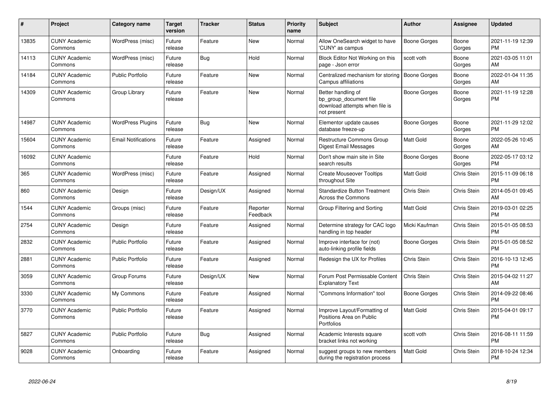| $\#$  | <b>Project</b>                  | Category name              | <b>Target</b><br>version | Tracker   | <b>Status</b>        | <b>Priority</b><br>name | <b>Subject</b>                                                                                | Author        | Assignee        | <b>Updated</b>                |
|-------|---------------------------------|----------------------------|--------------------------|-----------|----------------------|-------------------------|-----------------------------------------------------------------------------------------------|---------------|-----------------|-------------------------------|
| 13835 | <b>CUNY Academic</b><br>Commons | WordPress (misc)           | Future<br>release        | Feature   | <b>New</b>           | Normal                  | Allow OneSearch widget to have<br>'CUNY' as campus                                            | Boone Gorges  | Boone<br>Gorges | 2021-11-19 12:39<br><b>PM</b> |
| 14113 | <b>CUNY Academic</b><br>Commons | WordPress (misc)           | Future<br>release        | Bug       | Hold                 | Normal                  | Block Editor Not Working on this<br>page - Json error                                         | scott voth    | Boone<br>Gorges | 2021-03-05 11:01<br>AM        |
| 14184 | <b>CUNY Academic</b><br>Commons | <b>Public Portfolio</b>    | Future<br>release        | Feature   | <b>New</b>           | Normal                  | Centralized mechanism for storing<br>Campus affiliations                                      | Boone Gorges  | Boone<br>Gorges | 2022-01-04 11:35<br>AM        |
| 14309 | <b>CUNY Academic</b><br>Commons | Group Library              | Future<br>release        | Feature   | <b>New</b>           | Normal                  | Better handling of<br>bp group document file<br>download attempts when file is<br>not present | Boone Gorges  | Boone<br>Gorges | 2021-11-19 12:28<br><b>PM</b> |
| 14987 | <b>CUNY Academic</b><br>Commons | <b>WordPress Plugins</b>   | Future<br>release        | Bug       | New                  | Normal                  | Elementor update causes<br>database freeze-up                                                 | Boone Gorges  | Boone<br>Gorges | 2021-11-29 12:02<br><b>PM</b> |
| 15604 | <b>CUNY Academic</b><br>Commons | <b>Email Notifications</b> | Future<br>release        | Feature   | Assigned             | Normal                  | Restructure Commons Group<br><b>Digest Email Messages</b>                                     | Matt Gold     | Boone<br>Gorges | 2022-05-26 10:45<br>AM        |
| 16092 | <b>CUNY Academic</b><br>Commons |                            | Future<br>release        | Feature   | Hold                 | Normal                  | Don't show main site in Site<br>search results                                                | Boone Gorges  | Boone<br>Gorges | 2022-05-17 03:12<br><b>PM</b> |
| 365   | <b>CUNY Academic</b><br>Commons | WordPress (misc)           | Future<br>release        | Feature   | Assigned             | Normal                  | <b>Create Mouseover Tooltips</b><br>throughout Site                                           | Matt Gold     | Chris Stein     | 2015-11-09 06:18<br><b>PM</b> |
| 860   | <b>CUNY Academic</b><br>Commons | Design                     | Future<br>release        | Design/UX | Assigned             | Normal                  | <b>Standardize Button Treatment</b><br>Across the Commons                                     | Chris Stein   | Chris Stein     | 2014-05-01 09:45<br>AM        |
| 1544  | <b>CUNY Academic</b><br>Commons | Groups (misc)              | Future<br>release        | Feature   | Reporter<br>Feedback | Normal                  | Group Filtering and Sorting                                                                   | Matt Gold     | Chris Stein     | 2019-03-01 02:25<br><b>PM</b> |
| 2754  | <b>CUNY Academic</b><br>Commons | Design                     | Future<br>release        | Feature   | Assigned             | Normal                  | Determine strategy for CAC logo<br>handling in top header                                     | Micki Kaufman | Chris Stein     | 2015-01-05 08:53<br><b>PM</b> |
| 2832  | <b>CUNY Academic</b><br>Commons | <b>Public Portfolio</b>    | Future<br>release        | Feature   | Assigned             | Normal                  | Improve interface for (not)<br>auto-linking profile fields                                    | Boone Gorges  | Chris Stein     | 2015-01-05 08:52<br><b>PM</b> |
| 2881  | <b>CUNY Academic</b><br>Commons | <b>Public Portfolio</b>    | Future<br>release        | Feature   | Assigned             | Normal                  | Redesign the UX for Profiles                                                                  | Chris Stein   | Chris Stein     | 2016-10-13 12:45<br><b>PM</b> |
| 3059  | <b>CUNY Academic</b><br>Commons | Group Forums               | Future<br>release        | Design/UX | <b>New</b>           | Normal                  | Forum Post Permissable Content<br><b>Explanatory Text</b>                                     | Chris Stein   | Chris Stein     | 2015-04-02 11:27<br>AM        |
| 3330  | <b>CUNY Academic</b><br>Commons | My Commons                 | Future<br>release        | Feature   | Assigned             | Normal                  | 'Commons Information" tool                                                                    | Boone Gorges  | Chris Stein     | 2014-09-22 08:46<br><b>PM</b> |
| 3770  | <b>CUNY Academic</b><br>Commons | <b>Public Portfolio</b>    | Future<br>release        | Feature   | Assigned             | Normal                  | Improve Layout/Formatting of<br>Positions Area on Public<br>Portfolios                        | Matt Gold     | Chris Stein     | 2015-04-01 09:17<br><b>PM</b> |
| 5827  | <b>CUNY Academic</b><br>Commons | <b>Public Portfolio</b>    | Future<br>release        | Bug       | Assigned             | Normal                  | Academic Interests square<br>bracket links not working                                        | scott voth    | Chris Stein     | 2016-08-11 11:59<br><b>PM</b> |
| 9028  | <b>CUNY Academic</b><br>Commons | Onboarding                 | Future<br>release        | Feature   | Assigned             | Normal                  | suggest groups to new members<br>during the registration process                              | Matt Gold     | Chris Stein     | 2018-10-24 12:34<br>PM        |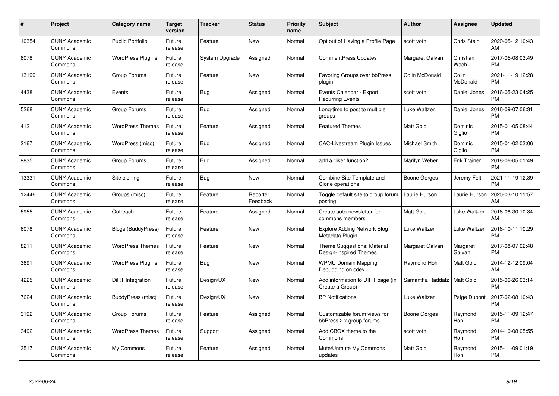| #     | Project                         | <b>Category name</b>     | <b>Target</b><br>version | <b>Tracker</b> | <b>Status</b>        | <b>Priority</b><br>name | <b>Subject</b>                                           | <b>Author</b>    | <b>Assignee</b>       | <b>Updated</b>                |
|-------|---------------------------------|--------------------------|--------------------------|----------------|----------------------|-------------------------|----------------------------------------------------------|------------------|-----------------------|-------------------------------|
| 10354 | <b>CUNY Academic</b><br>Commons | <b>Public Portfolio</b>  | Future<br>release        | Feature        | <b>New</b>           | Normal                  | Opt out of Having a Profile Page                         | scott voth       | Chris Stein           | 2020-05-12 10:43<br>AM        |
| 8078  | <b>CUNY Academic</b><br>Commons | <b>WordPress Plugins</b> | Future<br>release        | System Upgrade | Assigned             | Normal                  | <b>CommentPress Updates</b>                              | Margaret Galvan  | Christian<br>Wach     | 2017-05-08 03:49<br><b>PM</b> |
| 13199 | <b>CUNY Academic</b><br>Commons | Group Forums             | Future<br>release        | Feature        | <b>New</b>           | Normal                  | <b>Favoring Groups over bbPress</b><br>plugin            | Colin McDonald   | Colin<br>McDonald     | 2021-11-19 12:28<br><b>PM</b> |
| 4438  | <b>CUNY Academic</b><br>Commons | Events                   | Future<br>release        | Bug            | Assigned             | Normal                  | Events Calendar - Export<br><b>Recurring Events</b>      | scott voth       | Daniel Jones          | 2016-05-23 04:25<br>PM        |
| 5268  | <b>CUNY Academic</b><br>Commons | Group Forums             | Future<br>release        | <b>Bug</b>     | Assigned             | Normal                  | Long-time to post to multiple<br>groups                  | Luke Waltzer     | Daniel Jones          | 2016-09-07 06:31<br><b>PM</b> |
| 412   | <b>CUNY Academic</b><br>Commons | <b>WordPress Themes</b>  | Future<br>release        | Feature        | Assigned             | Normal                  | <b>Featured Themes</b>                                   | <b>Matt Gold</b> | Dominic<br>Giglio     | 2015-01-05 08:44<br><b>PM</b> |
| 2167  | <b>CUNY Academic</b><br>Commons | WordPress (misc)         | Future<br>release        | Bug            | Assigned             | Normal                  | CAC-Livestream Plugin Issues                             | Michael Smith    | Dominic<br>Giglio     | 2015-01-02 03:06<br><b>PM</b> |
| 9835  | <b>CUNY Academic</b><br>Commons | Group Forums             | Future<br>release        | <b>Bug</b>     | Assigned             | Normal                  | add a "like" function?                                   | Marilyn Weber    | <b>Erik Trainer</b>   | 2018-06-05 01:49<br><b>PM</b> |
| 13331 | <b>CUNY Academic</b><br>Commons | Site cloning             | Future<br>release        | <b>Bug</b>     | <b>New</b>           | Normal                  | Combine Site Template and<br>Clone operations            | Boone Gorges     | Jeremy Felt           | 2021-11-19 12:39<br><b>PM</b> |
| 12446 | <b>CUNY Academic</b><br>Commons | Groups (misc)            | Future<br>release        | Feature        | Reporter<br>Feedback | Normal                  | Toggle default site to group forum<br>posting            | Laurie Hurson    | Laurie Hurson         | 2020-03-10 11:57<br>AM        |
| 5955  | <b>CUNY Academic</b><br>Commons | Outreach                 | Future<br>release        | Feature        | Assigned             | Normal                  | Create auto-newsletter for<br>commons members            | <b>Matt Gold</b> | Luke Waltzer          | 2016-08-30 10:34<br>AM        |
| 6078  | <b>CUNY Academic</b><br>Commons | Blogs (BuddyPress)       | Future<br>release        | Feature        | <b>New</b>           | Normal                  | <b>Explore Adding Network Blog</b><br>Metadata Plugin    | Luke Waltzer     | Luke Waltzer          | 2016-10-11 10:29<br><b>PM</b> |
| 8211  | <b>CUNY Academic</b><br>Commons | <b>WordPress Themes</b>  | Future<br>release        | Feature        | <b>New</b>           | Normal                  | Theme Suggestions: Material<br>Design-Inspired Themes    | Margaret Galvan  | Margaret<br>Galvan    | 2017-08-07 02:48<br><b>PM</b> |
| 3691  | <b>CUNY Academic</b><br>Commons | <b>WordPress Plugins</b> | Future<br>release        | Bug            | <b>New</b>           | Normal                  | <b>WPMU Domain Mapping</b><br>Debugging on cdev          | Raymond Hoh      | Matt Gold             | 2014-12-12 09:04<br>AM        |
| 4225  | <b>CUNY Academic</b><br>Commons | DiRT Integration         | Future<br>release        | Design/UX      | New                  | Normal                  | Add information to DIRT page (in<br>Create a Group)      | Samantha Raddatz | <b>Matt Gold</b>      | 2015-06-26 03:14<br><b>PM</b> |
| 7624  | <b>CUNY Academic</b><br>Commons | BuddyPress (misc)        | Future<br>release        | Design/UX      | <b>New</b>           | Normal                  | <b>BP Notifications</b>                                  | Luke Waltzer     | Paige Dupont          | 2017-02-08 10:43<br><b>PM</b> |
| 3192  | <b>CUNY Academic</b><br>Commons | Group Forums             | Future<br>release        | Feature        | Assigned             | Normal                  | Customizable forum views for<br>bbPress 2.x group forums | Boone Gorges     | Raymond<br><b>Hoh</b> | 2015-11-09 12:47<br><b>PM</b> |
| 3492  | <b>CUNY Academic</b><br>Commons | <b>WordPress Themes</b>  | Future<br>release        | Support        | Assigned             | Normal                  | Add CBOX theme to the<br>Commons                         | scott voth       | Raymond<br>Hoh        | 2014-10-08 05:55<br><b>PM</b> |
| 3517  | <b>CUNY Academic</b><br>Commons | My Commons               | Future<br>release        | Feature        | Assigned             | Normal                  | Mute/Unmute My Commons<br>updates                        | <b>Matt Gold</b> | Raymond<br>Hoh        | 2015-11-09 01:19<br>PM        |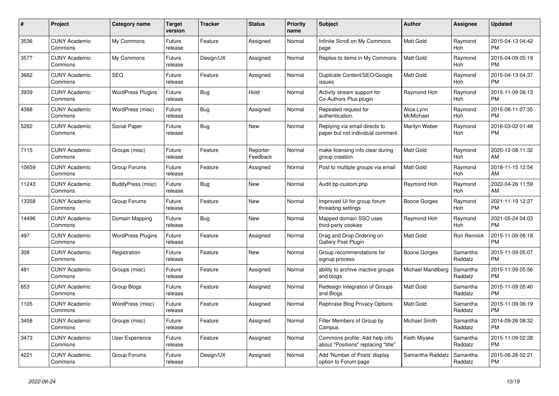| #     | <b>Project</b>                  | <b>Category name</b>     | <b>Target</b><br>version | Tracker    | <b>Status</b>        | <b>Priority</b><br>name | <b>Subject</b>                                                        | <b>Author</b>           | Assignee              | <b>Updated</b>                |
|-------|---------------------------------|--------------------------|--------------------------|------------|----------------------|-------------------------|-----------------------------------------------------------------------|-------------------------|-----------------------|-------------------------------|
| 3536  | <b>CUNY Academic</b><br>Commons | My Commons               | Future<br>release        | Feature    | Assigned             | Normal                  | Infinite Scroll on My Commons<br>page                                 | Matt Gold               | Raymond<br><b>Hoh</b> | 2015-04-13 04:42<br><b>PM</b> |
| 3577  | <b>CUNY Academic</b><br>Commons | My Commons               | Future<br>release        | Design/UX  | Assigned             | Normal                  | Replies to items in My Commons                                        | Matt Gold               | Raymond<br>Hoh        | 2015-04-09 05:19<br><b>PM</b> |
| 3662  | <b>CUNY Academic</b><br>Commons | <b>SEO</b>               | Future<br>release        | Feature    | Assigned             | Normal                  | Duplicate Content/SEO/Google<br>issues                                | Matt Gold               | Raymond<br>Hoh        | 2015-04-13 04:37<br>PM        |
| 3939  | <b>CUNY Academic</b><br>Commons | <b>WordPress Plugins</b> | Future<br>release        | <b>Bug</b> | Hold                 | Normal                  | Activity stream support for<br>Co-Authors Plus plugin                 | Raymond Hoh             | Raymond<br><b>Hoh</b> | 2015-11-09 06:13<br><b>PM</b> |
| 4388  | <b>CUNY Academic</b><br>Commons | WordPress (misc)         | Future<br>release        | Bug        | Assigned             | Normal                  | Repeated request for<br>authentication.                               | Alice.Lynn<br>McMichael | Raymond<br>Hoh        | 2015-08-11 07:35<br>PM        |
| 5282  | <b>CUNY Academic</b><br>Commons | Social Paper             | Future<br>release        | <b>Bug</b> | New                  | Normal                  | Replying via email directs to<br>paper but not individual comment.    | Marilyn Weber           | Raymond<br>Hoh        | 2016-03-02 01:48<br>PМ        |
| 7115  | <b>CUNY Academic</b><br>Commons | Groups (misc)            | Future<br>release        | Feature    | Reporter<br>Feedback | Normal                  | make licensing info clear during<br>group creation                    | Matt Gold               | Raymond<br>Hoh        | 2020-12-08 11:32<br>AM        |
| 10659 | <b>CUNY Academic</b><br>Commons | Group Forums             | Future<br>release        | Feature    | Assigned             | Normal                  | Post to multiple groups via email                                     | Matt Gold               | Raymond<br><b>Hoh</b> | 2018-11-15 12:54<br>AM        |
| 11243 | <b>CUNY Academic</b><br>Commons | BuddyPress (misc)        | Future<br>release        | <b>Bug</b> | New                  | Normal                  | Audit bp-custom.php                                                   | Raymond Hoh             | Raymond<br><b>Hoh</b> | 2022-04-26 11:59<br>AM        |
| 13358 | <b>CUNY Academic</b><br>Commons | Group Forums             | Future<br>release        | Feature    | <b>New</b>           | Normal                  | Improved UI for group forum<br>threading settings                     | Boone Gorges            | Raymond<br>Hoh        | 2021-11-19 12:27<br><b>PM</b> |
| 14496 | <b>CUNY Academic</b><br>Commons | Domain Mapping           | Future<br>release        | <b>Bug</b> | <b>New</b>           | Normal                  | Mapped domain SSO uses<br>third-party cookies                         | Raymond Hoh             | Raymond<br><b>Hoh</b> | 2021-05-24 04:03<br>РM        |
| 497   | <b>CUNY Academic</b><br>Commons | <b>WordPress Plugins</b> | Future<br>release        | Feature    | Assigned             | Normal                  | Drag and Drop Ordering on<br>Gallery Post Plugin                      | Matt Gold               | Ron Rennick           | 2015-11-09 06:18<br><b>PM</b> |
| 308   | <b>CUNY Academic</b><br>Commons | Registration             | Future<br>release        | Feature    | <b>New</b>           | Normal                  | Group recommendations for<br>signup process                           | Boone Gorges            | Samantha<br>Raddatz   | 2015-11-09 05:07<br><b>PM</b> |
| 481   | <b>CUNY Academic</b><br>Commons | Groups (misc)            | Future<br>release        | Feature    | Assigned             | Normal                  | ability to archive inactive groups<br>and blogs                       | Michael Mandiberg       | Samantha<br>Raddatz   | 2015-11-09 05:56<br><b>PM</b> |
| 653   | <b>CUNY Academic</b><br>Commons | Group Blogs              | Future<br>release        | Feature    | Assigned             | Normal                  | Redesign Integration of Groups<br>and Blogs                           | Matt Gold               | Samantha<br>Raddatz   | 2015-11-09 05:40<br><b>PM</b> |
| 1105  | <b>CUNY Academic</b><br>Commons | WordPress (misc)         | Future<br>release        | Feature    | Assigned             | Normal                  | Rephrase Blog Privacy Options                                         | Matt Gold               | Samantha<br>Raddatz   | 2015-11-09 06:19<br>PM        |
| 3458  | <b>CUNY Academic</b><br>Commons | Groups (misc)            | Future<br>release        | Feature    | Assigned             | Normal                  | Filter Members of Group by<br>Campus                                  | <b>Michael Smith</b>    | Samantha<br>Raddatz   | 2014-09-26 08:32<br><b>PM</b> |
| 3473  | <b>CUNY Academic</b><br>Commons | <b>User Experience</b>   | Future<br>release        | Feature    | Assigned             | Normal                  | Commons profile: Add help info<br>about "Positions" replacing "title' | Keith Miyake            | Samantha<br>Raddatz   | 2015-11-09 02:28<br>PM        |
| 4221  | <b>CUNY Academic</b><br>Commons | Group Forums             | Future<br>release        | Design/UX  | Assigned             | Normal                  | Add 'Number of Posts' display<br>option to Forum page                 | Samantha Raddatz        | Samantha<br>Raddatz   | 2015-06-26 02:21<br><b>PM</b> |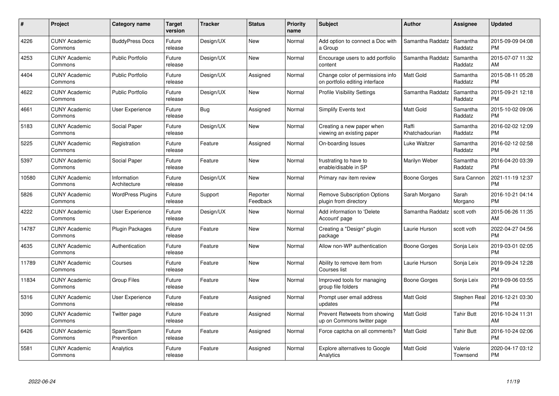| #     | Project                         | <b>Category name</b>        | <b>Target</b><br>version | <b>Tracker</b> | <b>Status</b>        | <b>Priority</b><br>name | <b>Subject</b>                                                     | <b>Author</b>           | <b>Assignee</b>     | <b>Updated</b>                |
|-------|---------------------------------|-----------------------------|--------------------------|----------------|----------------------|-------------------------|--------------------------------------------------------------------|-------------------------|---------------------|-------------------------------|
| 4226  | <b>CUNY Academic</b><br>Commons | <b>BuddyPress Docs</b>      | Future<br>release        | Design/UX      | <b>New</b>           | Normal                  | Add option to connect a Doc with<br>a Group                        | Samantha Raddatz        | Samantha<br>Raddatz | 2015-09-09 04:08<br><b>PM</b> |
| 4253  | <b>CUNY Academic</b><br>Commons | Public Portfolio            | Future<br>release        | Design/UX      | <b>New</b>           | Normal                  | Encourage users to add portfolio<br>content                        | Samantha Raddatz        | Samantha<br>Raddatz | 2015-07-07 11:32<br>AM        |
| 4404  | <b>CUNY Academic</b><br>Commons | <b>Public Portfolio</b>     | Future<br>release        | Design/UX      | Assigned             | Normal                  | Change color of permissions info<br>on portfolio editing interface | <b>Matt Gold</b>        | Samantha<br>Raddatz | 2015-08-11 05:28<br><b>PM</b> |
| 4622  | <b>CUNY Academic</b><br>Commons | <b>Public Portfolio</b>     | Future<br>release        | Design/UX      | <b>New</b>           | Normal                  | <b>Profile Visibility Settings</b>                                 | Samantha Raddatz        | Samantha<br>Raddatz | 2015-09-21 12:18<br><b>PM</b> |
| 4661  | <b>CUNY Academic</b><br>Commons | <b>User Experience</b>      | Future<br>release        | <b>Bug</b>     | Assigned             | Normal                  | <b>Simplify Events text</b>                                        | <b>Matt Gold</b>        | Samantha<br>Raddatz | 2015-10-02 09:06<br><b>PM</b> |
| 5183  | <b>CUNY Academic</b><br>Commons | Social Paper                | Future<br>release        | Design/UX      | <b>New</b>           | Normal                  | Creating a new paper when<br>viewing an existing paper             | Raffi<br>Khatchadourian | Samantha<br>Raddatz | 2016-02-02 12:09<br><b>PM</b> |
| 5225  | <b>CUNY Academic</b><br>Commons | Registration                | Future<br>release        | Feature        | Assigned             | Normal                  | On-boarding Issues                                                 | Luke Waltzer            | Samantha<br>Raddatz | 2016-02-12 02:58<br><b>PM</b> |
| 5397  | <b>CUNY Academic</b><br>Commons | Social Paper                | Future<br>release        | Feature        | <b>New</b>           | Normal                  | frustrating to have to<br>enable/disable in SP                     | Marilyn Weber           | Samantha<br>Raddatz | 2016-04-20 03:39<br><b>PM</b> |
| 10580 | <b>CUNY Academic</b><br>Commons | Information<br>Architecture | Future<br>release        | Design/UX      | New                  | Normal                  | Primary nav item review                                            | Boone Gorges            | Sara Cannon         | 2021-11-19 12:37<br><b>PM</b> |
| 5826  | <b>CUNY Academic</b><br>Commons | WordPress Plugins           | Future<br>release        | Support        | Reporter<br>Feedback | Normal                  | <b>Remove Subscription Options</b><br>plugin from directory        | Sarah Morgano           | Sarah<br>Morgano    | 2016-10-21 04:14<br><b>PM</b> |
| 4222  | <b>CUNY Academic</b><br>Commons | <b>User Experience</b>      | Future<br>release        | Design/UX      | <b>New</b>           | Normal                  | Add information to 'Delete<br>Account' page                        | Samantha Raddatz        | scott voth          | 2015-06-26 11:35<br>AM        |
| 14787 | <b>CUNY Academic</b><br>Commons | <b>Plugin Packages</b>      | Future<br>release        | Feature        | <b>New</b>           | Normal                  | Creating a "Design" plugin<br>package                              | Laurie Hurson           | scott voth          | 2022-04-27 04:56<br><b>PM</b> |
| 4635  | <b>CUNY Academic</b><br>Commons | Authentication              | Future<br>release        | Feature        | <b>New</b>           | Normal                  | Allow non-WP authentication                                        | Boone Gorges            | Sonja Leix          | 2019-03-01 02:05<br><b>PM</b> |
| 11789 | <b>CUNY Academic</b><br>Commons | Courses                     | Future<br>release        | Feature        | <b>New</b>           | Normal                  | Ability to remove item from<br>Courses list                        | Laurie Hurson           | Sonja Leix          | 2019-09-24 12:28<br><b>PM</b> |
| 11834 | <b>CUNY Academic</b><br>Commons | Group Files                 | Future<br>release        | Feature        | New                  | Normal                  | Improved tools for managing<br>group file folders                  | Boone Gorges            | Sonja Leix          | 2019-09-06 03:55<br><b>PM</b> |
| 5316  | <b>CUNY Academic</b><br>Commons | <b>User Experience</b>      | Future<br>release        | Feature        | Assigned             | Normal                  | Prompt user email address<br>updates                               | <b>Matt Gold</b>        | Stephen Real        | 2016-12-21 03:30<br><b>PM</b> |
| 3090  | <b>CUNY Academic</b><br>Commons | Twitter page                | Future<br>release        | Feature        | Assigned             | Normal                  | Prevent Retweets from showing<br>up on Commons twitter page        | <b>Matt Gold</b>        | <b>Tahir Butt</b>   | 2016-10-24 11:31<br>AM        |
| 6426  | <b>CUNY Academic</b><br>Commons | Spam/Spam<br>Prevention     | Future<br>release        | Feature        | Assigned             | Normal                  | Force captcha on all comments?                                     | Matt Gold               | <b>Tahir Butt</b>   | 2016-10-24 02:06<br><b>PM</b> |
| 5581  | <b>CUNY Academic</b><br>Commons | Analytics                   | Future<br>release        | Feature        | Assigned             | Normal                  | Explore alternatives to Google<br>Analytics                        | <b>Matt Gold</b>        | Valerie<br>Townsend | 2020-04-17 03:12<br>PM        |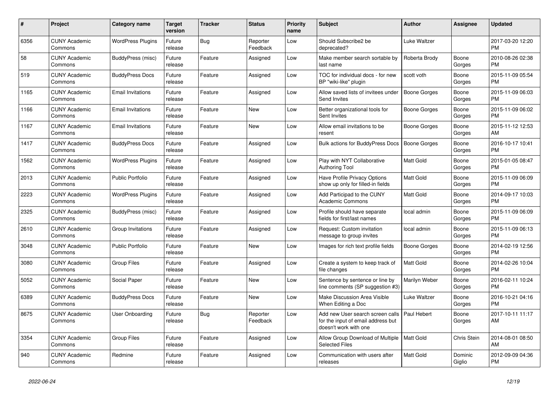| #    | <b>Project</b>                  | <b>Category name</b>     | Target<br>version | <b>Tracker</b> | <b>Status</b>        | <b>Priority</b><br>name | <b>Subject</b>                                                                                  | <b>Author</b>       | Assignee          | <b>Updated</b>                |
|------|---------------------------------|--------------------------|-------------------|----------------|----------------------|-------------------------|-------------------------------------------------------------------------------------------------|---------------------|-------------------|-------------------------------|
| 6356 | <b>CUNY Academic</b><br>Commons | <b>WordPress Plugins</b> | Future<br>release | <b>Bug</b>     | Reporter<br>Feedback | Low                     | Should Subscribe2 be<br>deprecated?                                                             | Luke Waltzer        |                   | 2017-03-20 12:20<br><b>PM</b> |
| 58   | <b>CUNY Academic</b><br>Commons | BuddyPress (misc)        | Future<br>release | Feature        | Assigned             | Low                     | Make member search sortable by<br>last name                                                     | Roberta Brody       | Boone<br>Gorges   | 2010-08-26 02:38<br><b>PM</b> |
| 519  | <b>CUNY Academic</b><br>Commons | <b>BuddyPress Docs</b>   | Future<br>release | Feature        | Assigned             | Low                     | TOC for individual docs - for new<br>BP "wiki-like" plugin                                      | scott voth          | Boone<br>Gorges   | 2015-11-09 05:54<br><b>PM</b> |
| 1165 | <b>CUNY Academic</b><br>Commons | <b>Email Invitations</b> | Future<br>release | Feature        | Assigned             | Low                     | Allow saved lists of invitees under<br>Send Invites                                             | <b>Boone Gorges</b> | Boone<br>Gorges   | 2015-11-09 06:03<br><b>PM</b> |
| 1166 | <b>CUNY Academic</b><br>Commons | <b>Email Invitations</b> | Future<br>release | Feature        | <b>New</b>           | Low                     | Better organizational tools for<br>Sent Invites                                                 | Boone Gorges        | Boone<br>Gorges   | 2015-11-09 06:02<br><b>PM</b> |
| 1167 | <b>CUNY Academic</b><br>Commons | <b>Email Invitations</b> | Future<br>release | Feature        | <b>New</b>           | Low                     | Allow email invitations to be<br>resent                                                         | Boone Gorges        | Boone<br>Gorges   | 2015-11-12 12:53<br>AM        |
| 1417 | <b>CUNY Academic</b><br>Commons | <b>BuddyPress Docs</b>   | Future<br>release | Feature        | Assigned             | Low                     | Bulk actions for BuddyPress Docs                                                                | Boone Gorges        | Boone<br>Gorges   | 2016-10-17 10:41<br><b>PM</b> |
| 1562 | <b>CUNY Academic</b><br>Commons | <b>WordPress Plugins</b> | Future<br>release | Feature        | Assigned             | Low                     | Play with NYT Collaborative<br><b>Authoring Tool</b>                                            | Matt Gold           | Boone<br>Gorges   | 2015-01-05 08:47<br><b>PM</b> |
| 2013 | <b>CUNY Academic</b><br>Commons | Public Portfolio         | Future<br>release | Feature        | Assigned             | Low                     | Have Profile Privacy Options<br>show up only for filled-in fields                               | Matt Gold           | Boone<br>Gorges   | 2015-11-09 06:09<br><b>PM</b> |
| 2223 | <b>CUNY Academic</b><br>Commons | <b>WordPress Plugins</b> | Future<br>release | Feature        | Assigned             | Low                     | Add Participad to the CUNY<br><b>Academic Commons</b>                                           | Matt Gold           | Boone<br>Gorges   | 2014-09-17 10:03<br><b>PM</b> |
| 2325 | <b>CUNY Academic</b><br>Commons | BuddyPress (misc)        | Future<br>release | Feature        | Assigned             | Low                     | Profile should have separate<br>fields for first/last names                                     | local admin         | Boone<br>Gorges   | 2015-11-09 06:09<br><b>PM</b> |
| 2610 | <b>CUNY Academic</b><br>Commons | Group Invitations        | Future<br>release | Feature        | Assigned             | Low                     | Request: Custom invitation<br>message to group invites                                          | local admin         | Boone<br>Gorges   | 2015-11-09 06:13<br><b>PM</b> |
| 3048 | <b>CUNY Academic</b><br>Commons | <b>Public Portfolio</b>  | Future<br>release | Feature        | <b>New</b>           | Low                     | Images for rich text profile fields                                                             | Boone Gorges        | Boone<br>Gorges   | 2014-02-19 12:56<br><b>PM</b> |
| 3080 | <b>CUNY Academic</b><br>Commons | <b>Group Files</b>       | Future<br>release | Feature        | Assigned             | Low                     | Create a system to keep track of<br>file changes                                                | <b>Matt Gold</b>    | Boone<br>Gorges   | 2014-02-26 10:04<br><b>PM</b> |
| 5052 | <b>CUNY Academic</b><br>Commons | Social Paper             | Future<br>release | Feature        | <b>New</b>           | Low                     | Sentence by sentence or line by<br>line comments (SP suggestion #3)                             | Marilyn Weber       | Boone<br>Gorges   | 2016-02-11 10:24<br><b>PM</b> |
| 6389 | <b>CUNY Academic</b><br>Commons | <b>BuddyPress Docs</b>   | Future<br>release | Feature        | <b>New</b>           | Low                     | Make Discussion Area Visible<br>When Editing a Doc                                              | Luke Waltzer        | Boone<br>Gorges   | 2016-10-21 04:16<br><b>PM</b> |
| 8675 | <b>CUNY Academic</b><br>Commons | <b>User Onboarding</b>   | Future<br>release | Bug            | Reporter<br>Feedback | Low                     | Add new User search screen calls<br>for the input of email address but<br>doesn't work with one | Paul Hebert         | Boone<br>Gorges   | 2017-10-11 11:17<br>AM        |
| 3354 | <b>CUNY Academic</b><br>Commons | <b>Group Files</b>       | Future<br>release | Feature        | Assigned             | Low                     | Allow Group Download of Multiple   Matt Gold<br><b>Selected Files</b>                           |                     | Chris Stein       | 2014-08-01 08:50<br>AM        |
| 940  | <b>CUNY Academic</b><br>Commons | Redmine                  | Future<br>release | Feature        | Assigned             | Low                     | Communication with users after<br>releases                                                      | <b>Matt Gold</b>    | Dominic<br>Giglio | 2012-09-09 04:36<br><b>PM</b> |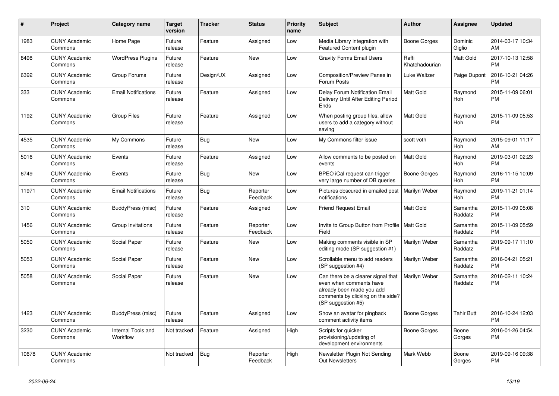| #     | Project                         | <b>Category name</b>           | <b>Target</b><br>version | <b>Tracker</b> | <b>Status</b>        | <b>Priority</b><br>name | <b>Subject</b>                                                                                                                                        | <b>Author</b>           | <b>Assignee</b>       | <b>Updated</b>                |
|-------|---------------------------------|--------------------------------|--------------------------|----------------|----------------------|-------------------------|-------------------------------------------------------------------------------------------------------------------------------------------------------|-------------------------|-----------------------|-------------------------------|
| 1983  | <b>CUNY Academic</b><br>Commons | Home Page                      | Future<br>release        | Feature        | Assigned             | Low                     | Media Library integration with<br><b>Featured Content plugin</b>                                                                                      | <b>Boone Gorges</b>     | Dominic<br>Giglio     | 2014-03-17 10:34<br>AM        |
| 8498  | <b>CUNY Academic</b><br>Commons | <b>WordPress Plugins</b>       | Future<br>release        | Feature        | <b>New</b>           | Low                     | <b>Gravity Forms Email Users</b>                                                                                                                      | Raffi<br>Khatchadourian | <b>Matt Gold</b>      | 2017-10-13 12:58<br><b>PM</b> |
| 6392  | <b>CUNY Academic</b><br>Commons | Group Forums                   | Future<br>release        | Design/UX      | Assigned             | Low                     | <b>Composition/Preview Panes in</b><br>Forum Posts                                                                                                    | Luke Waltzer            | Paige Dupont          | 2016-10-21 04:26<br><b>PM</b> |
| 333   | <b>CUNY Academic</b><br>Commons | <b>Email Notifications</b>     | Future<br>release        | Feature        | Assigned             | Low                     | Delay Forum Notification Email<br>Delivery Until After Editing Period<br>Ends                                                                         | <b>Matt Gold</b>        | Raymond<br>Hoh        | 2015-11-09 06:01<br><b>PM</b> |
| 1192  | <b>CUNY Academic</b><br>Commons | <b>Group Files</b>             | Future<br>release        | Feature        | Assigned             | Low                     | When posting group files, allow<br>users to add a category without<br>saving                                                                          | Matt Gold               | Raymond<br>Hoh        | 2015-11-09 05:53<br><b>PM</b> |
| 4535  | <b>CUNY Academic</b><br>Commons | My Commons                     | Future<br>release        | <b>Bug</b>     | <b>New</b>           | Low                     | My Commons filter issue                                                                                                                               | scott voth              | Raymond<br><b>Hoh</b> | 2015-09-01 11:17<br>AM        |
| 5016  | <b>CUNY Academic</b><br>Commons | Events                         | Future<br>release        | Feature        | Assigned             | Low                     | Allow comments to be posted on<br>events                                                                                                              | <b>Matt Gold</b>        | Raymond<br>Hoh        | 2019-03-01 02:23<br><b>PM</b> |
| 6749  | <b>CUNY Academic</b><br>Commons | Events                         | Future<br>release        | Bug            | New                  | Low                     | BPEO iCal request can trigger<br>very large number of DB queries                                                                                      | Boone Gorges            | Raymond<br><b>Hoh</b> | 2016-11-15 10:09<br><b>PM</b> |
| 11971 | <b>CUNY Academic</b><br>Commons | <b>Email Notifications</b>     | Future<br>release        | <b>Bug</b>     | Reporter<br>Feedback | Low                     | Pictures obscured in emailed post<br>notifications                                                                                                    | Marilyn Weber           | Raymond<br><b>Hoh</b> | 2019-11-21 01:14<br><b>PM</b> |
| 310   | <b>CUNY Academic</b><br>Commons | BuddyPress (misc)              | Future<br>release        | Feature        | Assigned             | Low                     | <b>Friend Request Email</b>                                                                                                                           | Matt Gold               | Samantha<br>Raddatz   | 2015-11-09 05:08<br><b>PM</b> |
| 1456  | <b>CUNY Academic</b><br>Commons | Group Invitations              | Future<br>release        | Feature        | Reporter<br>Feedback | Low                     | Invite to Group Button from Profile  <br>Field                                                                                                        | <b>Matt Gold</b>        | Samantha<br>Raddatz   | 2015-11-09 05:59<br><b>PM</b> |
| 5050  | <b>CUNY Academic</b><br>Commons | Social Paper                   | Future<br>release        | Feature        | New                  | Low                     | Making comments visible in SP<br>editing mode (SP suggestion #1)                                                                                      | Marilyn Weber           | Samantha<br>Raddatz   | 2019-09-17 11:10<br><b>PM</b> |
| 5053  | <b>CUNY Academic</b><br>Commons | Social Paper                   | Future<br>release        | Feature        | <b>New</b>           | Low                     | Scrollable menu to add readers<br>(SP suggestion #4)                                                                                                  | Marilyn Weber           | Samantha<br>Raddatz   | 2016-04-21 05:21<br><b>PM</b> |
| 5058  | <b>CUNY Academic</b><br>Commons | Social Paper                   | Future<br>release        | Feature        | <b>New</b>           | Low                     | Can there be a clearer signal that<br>even when comments have<br>already been made you add<br>comments by clicking on the side?<br>(SP suggestion #5) | Marilyn Weber           | Samantha<br>Raddatz   | 2016-02-11 10:24<br><b>PM</b> |
| 1423  | <b>CUNY Academic</b><br>Commons | BuddyPress (misc)              | Future<br>release        | Feature        | Assigned             | Low                     | Show an avatar for pingback<br>comment activity items                                                                                                 | Boone Gorges            | <b>Tahir Butt</b>     | 2016-10-24 12:03<br><b>PM</b> |
| 3230  | <b>CUNY Academic</b><br>Commons | Internal Tools and<br>Workflow | Not tracked              | Feature        | Assigned             | High                    | Scripts for quicker<br>provisioning/updating of<br>development environments                                                                           | Boone Gorges            | Boone<br>Gorges       | 2016-01-26 04:54<br><b>PM</b> |
| 10678 | <b>CUNY Academic</b><br>Commons |                                | Not tracked              | <b>Bug</b>     | Reporter<br>Feedback | High                    | Newsletter Plugin Not Sending<br><b>Out Newsletters</b>                                                                                               | Mark Webb               | Boone<br>Gorges       | 2019-09-16 09:38<br><b>PM</b> |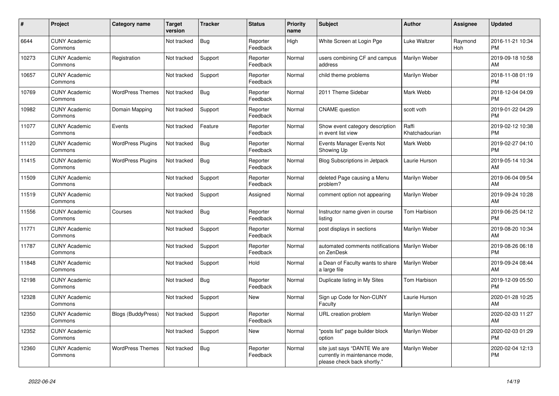| #     | Project                         | <b>Category name</b>      | <b>Target</b><br>version | <b>Tracker</b> | <b>Status</b>        | <b>Priority</b><br>name | <b>Subject</b>                                                                                | <b>Author</b>           | <b>Assignee</b> | <b>Updated</b>                |
|-------|---------------------------------|---------------------------|--------------------------|----------------|----------------------|-------------------------|-----------------------------------------------------------------------------------------------|-------------------------|-----------------|-------------------------------|
| 6644  | <b>CUNY Academic</b><br>Commons |                           | Not tracked              | Bug            | Reporter<br>Feedback | High                    | White Screen at Login Pge                                                                     | Luke Waltzer            | Raymond<br>Hoh  | 2016-11-21 10:34<br><b>PM</b> |
| 10273 | <b>CUNY Academic</b><br>Commons | Registration              | Not tracked              | Support        | Reporter<br>Feedback | Normal                  | users combining CF and campus<br>address                                                      | Marilyn Weber           |                 | 2019-09-18 10:58<br>AM        |
| 10657 | <b>CUNY Academic</b><br>Commons |                           | Not tracked              | Support        | Reporter<br>Feedback | Normal                  | child theme problems                                                                          | Marilyn Weber           |                 | 2018-11-08 01:19<br><b>PM</b> |
| 10769 | <b>CUNY Academic</b><br>Commons | <b>WordPress Themes</b>   | Not tracked              | Bug            | Reporter<br>Feedback | Normal                  | 2011 Theme Sidebar                                                                            | Mark Webb               |                 | 2018-12-04 04:09<br><b>PM</b> |
| 10982 | <b>CUNY Academic</b><br>Commons | Domain Mapping            | Not tracked              | Support        | Reporter<br>Feedback | Normal                  | <b>CNAME</b> question                                                                         | scott voth              |                 | 2019-01-22 04:29<br><b>PM</b> |
| 11077 | <b>CUNY Academic</b><br>Commons | Events                    | Not tracked              | Feature        | Reporter<br>Feedback | Normal                  | Show event category description<br>in event list view                                         | Raffi<br>Khatchadourian |                 | 2019-02-12 10:38<br><b>PM</b> |
| 11120 | <b>CUNY Academic</b><br>Commons | <b>WordPress Plugins</b>  | Not tracked              | Bug            | Reporter<br>Feedback | Normal                  | Events Manager Events Not<br>Showing Up                                                       | Mark Webb               |                 | 2019-02-27 04:10<br><b>PM</b> |
| 11415 | <b>CUNY Academic</b><br>Commons | <b>WordPress Plugins</b>  | Not tracked              | Bug            | Reporter<br>Feedback | Normal                  | <b>Blog Subscriptions in Jetpack</b>                                                          | Laurie Hurson           |                 | 2019-05-14 10:34<br>AM        |
| 11509 | <b>CUNY Academic</b><br>Commons |                           | Not tracked              | Support        | Reporter<br>Feedback | Normal                  | deleted Page causing a Menu<br>problem?                                                       | Marilyn Weber           |                 | 2019-06-04 09:54<br>AM        |
| 11519 | <b>CUNY Academic</b><br>Commons |                           | Not tracked              | Support        | Assigned             | Normal                  | comment option not appearing                                                                  | Marilyn Weber           |                 | 2019-09-24 10:28<br>AM        |
| 11556 | <b>CUNY Academic</b><br>Commons | Courses                   | Not tracked              | Bug            | Reporter<br>Feedback | Normal                  | Instructor name given in course<br>listing                                                    | Tom Harbison            |                 | 2019-06-25 04:12<br><b>PM</b> |
| 11771 | <b>CUNY Academic</b><br>Commons |                           | Not tracked              | Support        | Reporter<br>Feedback | Normal                  | post displays in sections                                                                     | Marilyn Weber           |                 | 2019-08-20 10:34<br>AM        |
| 11787 | <b>CUNY Academic</b><br>Commons |                           | Not tracked              | Support        | Reporter<br>Feedback | Normal                  | automated comments notifications   Marilyn Weber<br>on ZenDesk                                |                         |                 | 2019-08-26 06:18<br><b>PM</b> |
| 11848 | <b>CUNY Academic</b><br>Commons |                           | Not tracked              | Support        | Hold                 | Normal                  | a Dean of Faculty wants to share<br>a large file                                              | Marilyn Weber           |                 | 2019-09-24 08:44<br>AM        |
| 12198 | <b>CUNY Academic</b><br>Commons |                           | Not tracked              | Bug            | Reporter<br>Feedback | Normal                  | Duplicate listing in My Sites                                                                 | Tom Harbison            |                 | 2019-12-09 05:50<br><b>PM</b> |
| 12328 | <b>CUNY Academic</b><br>Commons |                           | Not tracked              | Support        | New                  | Normal                  | Sign up Code for Non-CUNY<br>Faculty                                                          | Laurie Hurson           |                 | 2020-01-28 10:25<br>AM        |
| 12350 | <b>CUNY Academic</b><br>Commons | <b>Blogs (BuddyPress)</b> | Not tracked              | Support        | Reporter<br>Feedback | Normal                  | <b>URL</b> creation problem                                                                   | Marilyn Weber           |                 | 2020-02-03 11:27<br>AM        |
| 12352 | <b>CUNY Academic</b><br>Commons |                           | Not tracked              | Support        | <b>New</b>           | Normal                  | 'posts list" page builder block<br>option                                                     | Marilyn Weber           |                 | 2020-02-03 01:29<br><b>PM</b> |
| 12360 | <b>CUNY Academic</b><br>Commons | <b>WordPress Themes</b>   | Not tracked              | <b>Bug</b>     | Reporter<br>Feedback | Normal                  | site just says "DANTE We are<br>currently in maintenance mode,<br>please check back shortly." | Marilyn Weber           |                 | 2020-02-04 12:13<br><b>PM</b> |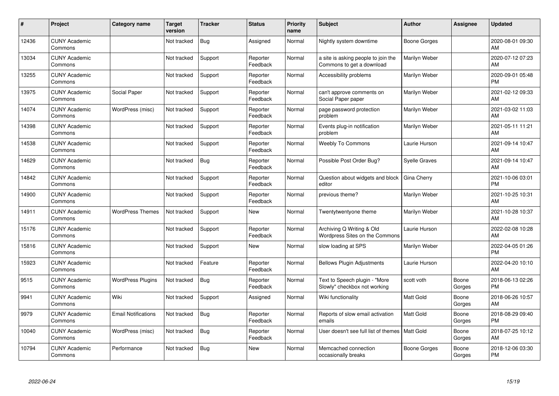| #     | Project                         | <b>Category name</b>       | <b>Target</b><br>version | <b>Tracker</b> | <b>Status</b>        | <b>Priority</b><br>name | <b>Subject</b>                                                   | Author               | <b>Assignee</b> | <b>Updated</b>                |
|-------|---------------------------------|----------------------------|--------------------------|----------------|----------------------|-------------------------|------------------------------------------------------------------|----------------------|-----------------|-------------------------------|
| 12436 | <b>CUNY Academic</b><br>Commons |                            | Not tracked              | Bug            | Assigned             | Normal                  | Nightly system downtime                                          | <b>Boone Gorges</b>  |                 | 2020-08-01 09:30<br>AM        |
| 13034 | <b>CUNY Academic</b><br>Commons |                            | Not tracked              | Support        | Reporter<br>Feedback | Normal                  | a site is asking people to join the<br>Commons to get a download | Marilyn Weber        |                 | 2020-07-12 07:23<br>AM        |
| 13255 | <b>CUNY Academic</b><br>Commons |                            | Not tracked              | Support        | Reporter<br>Feedback | Normal                  | Accessibility problems                                           | Marilyn Weber        |                 | 2020-09-01 05:48<br><b>PM</b> |
| 13975 | <b>CUNY Academic</b><br>Commons | Social Paper               | Not tracked              | Support        | Reporter<br>Feedback | Normal                  | can't approve comments on<br>Social Paper paper                  | Marilyn Weber        |                 | 2021-02-12 09:33<br>AM        |
| 14074 | <b>CUNY Academic</b><br>Commons | WordPress (misc)           | Not tracked              | Support        | Reporter<br>Feedback | Normal                  | page password protection<br>problem                              | Marilyn Weber        |                 | 2021-03-02 11:03<br>AM        |
| 14398 | <b>CUNY Academic</b><br>Commons |                            | Not tracked              | Support        | Reporter<br>Feedback | Normal                  | Events plug-in notification<br>problem                           | Marilyn Weber        |                 | 2021-05-11 11:21<br>AM        |
| 14538 | <b>CUNY Academic</b><br>Commons |                            | Not tracked              | Support        | Reporter<br>Feedback | Normal                  | <b>Weebly To Commons</b>                                         | Laurie Hurson        |                 | 2021-09-14 10:47<br>AM        |
| 14629 | <b>CUNY Academic</b><br>Commons |                            | Not tracked              | Bug            | Reporter<br>Feedback | Normal                  | Possible Post Order Bug?                                         | <b>Syelle Graves</b> |                 | 2021-09-14 10:47<br>AM        |
| 14842 | <b>CUNY Academic</b><br>Commons |                            | Not tracked              | Support        | Reporter<br>Feedback | Normal                  | Question about widgets and block<br>editor                       | Gina Cherry          |                 | 2021-10-06 03:01<br><b>PM</b> |
| 14900 | <b>CUNY Academic</b><br>Commons |                            | Not tracked              | Support        | Reporter<br>Feedback | Normal                  | previous theme?                                                  | Marilyn Weber        |                 | 2021-10-25 10:31<br>AM        |
| 14911 | <b>CUNY Academic</b><br>Commons | <b>WordPress Themes</b>    | Not tracked              | Support        | New                  | Normal                  | Twentytwentyone theme                                            | Marilyn Weber        |                 | 2021-10-28 10:37<br>AM        |
| 15176 | <b>CUNY Academic</b><br>Commons |                            | Not tracked              | Support        | Reporter<br>Feedback | Normal                  | Archiving Q Writing & Old<br>Wordpress Sites on the Commons      | Laurie Hurson        |                 | 2022-02-08 10:28<br>AM        |
| 15816 | <b>CUNY Academic</b><br>Commons |                            | Not tracked              | Support        | New                  | Normal                  | slow loading at SPS                                              | Marilyn Weber        |                 | 2022-04-05 01:26<br><b>PM</b> |
| 15923 | <b>CUNY Academic</b><br>Commons |                            | Not tracked              | Feature        | Reporter<br>Feedback | Normal                  | <b>Bellows Plugin Adjustments</b>                                | Laurie Hurson        |                 | 2022-04-20 10:10<br>AM        |
| 9515  | <b>CUNY Academic</b><br>Commons | <b>WordPress Plugins</b>   | Not tracked              | Bug            | Reporter<br>Feedback | Normal                  | Text to Speech plugin - "More<br>Slowly" checkbox not working    | scott voth           | Boone<br>Gorges | 2018-06-13 02:26<br><b>PM</b> |
| 9941  | <b>CUNY Academic</b><br>Commons | Wiki                       | Not tracked              | Support        | Assigned             | Normal                  | Wiki functionality                                               | <b>Matt Gold</b>     | Boone<br>Gorges | 2018-06-26 10:57<br>AM        |
| 9979  | <b>CUNY Academic</b><br>Commons | <b>Email Notifications</b> | Not tracked              | <b>Bug</b>     | Reporter<br>Feedback | Normal                  | Reports of slow email activation<br>emails                       | Matt Gold            | Boone<br>Gorges | 2018-08-29 09:40<br><b>PM</b> |
| 10040 | <b>CUNY Academic</b><br>Commons | WordPress (misc)           | Not tracked              | Bug            | Reporter<br>Feedback | Normal                  | User doesn't see full list of themes   Matt Gold                 |                      | Boone<br>Gorges | 2018-07-25 10:12<br>AM        |
| 10794 | <b>CUNY Academic</b><br>Commons | Performance                | Not tracked              | <b>Bug</b>     | <b>New</b>           | Normal                  | Memcached connection<br>occasionally breaks                      | Boone Gorges         | Boone<br>Gorges | 2018-12-06 03:30<br><b>PM</b> |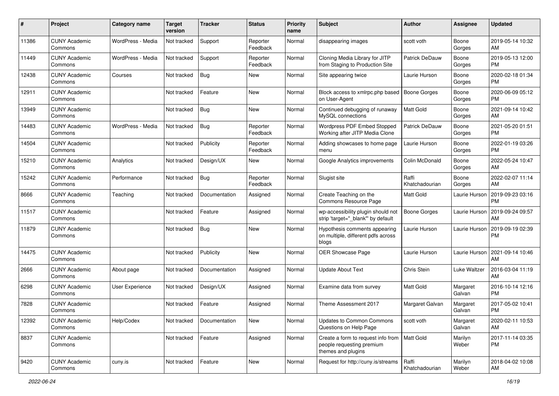| #     | Project                         | <b>Category name</b> | <b>Target</b><br>version | <b>Tracker</b> | <b>Status</b>        | <b>Priority</b><br>name | <b>Subject</b>                                                                                    | <b>Author</b>           | Assignee           | <b>Updated</b>                |
|-------|---------------------------------|----------------------|--------------------------|----------------|----------------------|-------------------------|---------------------------------------------------------------------------------------------------|-------------------------|--------------------|-------------------------------|
| 11386 | <b>CUNY Academic</b><br>Commons | WordPress - Media    | Not tracked              | Support        | Reporter<br>Feedback | Normal                  | disappearing images                                                                               | scott voth              | Boone<br>Gorges    | 2019-05-14 10:32<br>AM        |
| 11449 | <b>CUNY Academic</b><br>Commons | WordPress - Media    | Not tracked              | Support        | Reporter<br>Feedback | Normal                  | Cloning Media Library for JITP<br>from Staging to Production Site                                 | <b>Patrick DeDauw</b>   | Boone<br>Gorges    | 2019-05-13 12:00<br><b>PM</b> |
| 12438 | <b>CUNY Academic</b><br>Commons | Courses              | Not tracked              | Bug            | <b>New</b>           | Normal                  | Site appearing twice                                                                              | Laurie Hurson           | Boone<br>Gorges    | 2020-02-18 01:34<br><b>PM</b> |
| 12911 | <b>CUNY Academic</b><br>Commons |                      | Not tracked              | Feature        | <b>New</b>           | Normal                  | Block access to xmlrpc.php based<br>on User-Agent                                                 | <b>Boone Gorges</b>     | Boone<br>Gorges    | 2020-06-09 05:12<br><b>PM</b> |
| 13949 | <b>CUNY Academic</b><br>Commons |                      | Not tracked              | <b>Bug</b>     | <b>New</b>           | Normal                  | Continued debugging of runaway<br>MvSQL connections                                               | <b>Matt Gold</b>        | Boone<br>Gorges    | 2021-09-14 10:42<br>AM        |
| 14483 | <b>CUNY Academic</b><br>Commons | WordPress - Media    | Not tracked              | Bug            | Reporter<br>Feedback | Normal                  | Wordpress PDF Embed Stopped<br>Working after JITP Media Clone                                     | <b>Patrick DeDauw</b>   | Boone<br>Gorges    | 2021-05-20 01:51<br><b>PM</b> |
| 14504 | <b>CUNY Academic</b><br>Commons |                      | Not tracked              | Publicity      | Reporter<br>Feedback | Normal                  | Adding showcases to home page<br>menu                                                             | Laurie Hurson           | Boone<br>Gorges    | 2022-01-19 03:26<br><b>PM</b> |
| 15210 | <b>CUNY Academic</b><br>Commons | Analytics            | Not tracked              | Design/UX      | <b>New</b>           | Normal                  | Google Analytics improvements                                                                     | Colin McDonald          | Boone<br>Gorges    | 2022-05-24 10:47<br>AM        |
| 15242 | <b>CUNY Academic</b><br>Commons | Performance          | Not tracked              | <b>Bug</b>     | Reporter<br>Feedback | Normal                  | Slugist site                                                                                      | Raffi<br>Khatchadourian | Boone<br>Gorges    | 2022-02-07 11:14<br>AM        |
| 8666  | <b>CUNY Academic</b><br>Commons | Teaching             | Not tracked              | Documentation  | Assigned             | Normal                  | Create Teaching on the<br>Commons Resource Page                                                   | Matt Gold               | Laurie Hurson      | 2019-09-23 03:16<br><b>PM</b> |
| 11517 | <b>CUNY Academic</b><br>Commons |                      | Not tracked              | Feature        | Assigned             | Normal                  | wp-accessibility plugin should not<br>strip 'target=" blank" by default                           | Boone Gorges            | Laurie Hurson      | 2019-09-24 09:57<br>AM        |
| 11879 | <b>CUNY Academic</b><br>Commons |                      | Not tracked              | <b>Bug</b>     | <b>New</b>           | Normal                  | Hypothesis comments appearing<br>on multiple, different pdfs across<br>blogs                      | Laurie Hurson           | Laurie Hurson      | 2019-09-19 02:39<br><b>PM</b> |
| 14475 | <b>CUNY Academic</b><br>Commons |                      | Not tracked              | Publicity      | <b>New</b>           | Normal                  | OER Showcase Page                                                                                 | Laurie Hurson           | Laurie Hurson      | 2021-09-14 10:46<br>AM        |
| 2666  | <b>CUNY Academic</b><br>Commons | About page           | Not tracked              | Documentation  | Assigned             | Normal                  | <b>Update About Text</b>                                                                          | Chris Stein             | Luke Waltzer       | 2016-03-04 11:19<br>AM        |
| 6298  | <b>CUNY Academic</b><br>Commons | User Experience      | Not tracked              | Design/UX      | Assigned             | Normal                  | Examine data from survey                                                                          | <b>Matt Gold</b>        | Margaret<br>Galvan | 2016-10-14 12:16<br><b>PM</b> |
| 7828  | <b>CUNY Academic</b><br>Commons |                      | Not tracked              | Feature        | Assigned             | Normal                  | Theme Assessment 2017                                                                             | Margaret Galvan         | Margaret<br>Galvan | 2017-05-02 10:41<br><b>PM</b> |
| 12392 | <b>CUNY Academic</b><br>Commons | Help/Codex           | Not tracked              | Documentation  | New                  | Normal                  | Updates to Common Commons<br>Questions on Help Page                                               | scott voth              | Margaret<br>Galvan | 2020-02-11 10:53<br>AM        |
| 8837  | <b>CUNY Academic</b><br>Commons |                      | Not tracked              | Feature        | Assigned             | Normal                  | Create a form to request info from   Matt Gold<br>people requesting premium<br>themes and plugins |                         | Marilyn<br>Weber   | 2017-11-14 03:35<br>PM        |
| 9420  | <b>CUNY Academic</b><br>Commons | cuny.is              | Not tracked              | Feature        | New                  | Normal                  | Request for http://cuny.is/streams                                                                | Raffi<br>Khatchadourian | Marilyn<br>Weber   | 2018-04-02 10:08<br>AM        |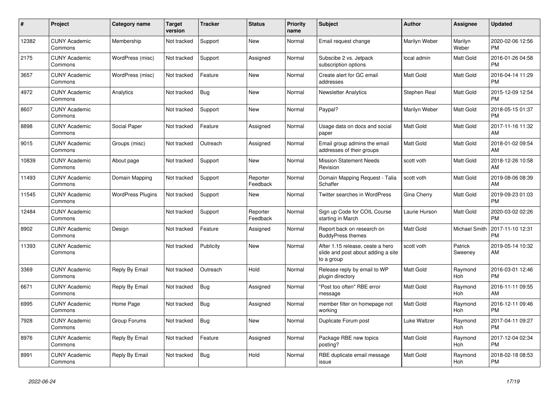| #     | <b>Project</b>                  | Category name            | <b>Target</b><br>version | <b>Tracker</b> | <b>Status</b>        | <b>Priority</b><br>name | <b>Subject</b>                                                                       | <b>Author</b>    | <b>Assignee</b>       | <b>Updated</b>                |
|-------|---------------------------------|--------------------------|--------------------------|----------------|----------------------|-------------------------|--------------------------------------------------------------------------------------|------------------|-----------------------|-------------------------------|
| 12382 | <b>CUNY Academic</b><br>Commons | Membership               | Not tracked              | Support        | <b>New</b>           | Normal                  | Email request change                                                                 | Marilyn Weber    | Marilyn<br>Weber      | 2020-02-06 12:56<br><b>PM</b> |
| 2175  | <b>CUNY Academic</b><br>Commons | WordPress (misc)         | Not tracked              | Support        | Assigned             | Normal                  | Subscibe 2 vs. Jetpack<br>subscription options                                       | local admin      | Matt Gold             | 2016-01-26 04:58<br><b>PM</b> |
| 3657  | <b>CUNY Academic</b><br>Commons | WordPress (misc)         | Not tracked              | Feature        | <b>New</b>           | Normal                  | Create alert for GC email<br>addresses                                               | Matt Gold        | Matt Gold             | 2016-04-14 11:29<br><b>PM</b> |
| 4972  | <b>CUNY Academic</b><br>Commons | Analytics                | Not tracked              | Bug            | <b>New</b>           | Normal                  | <b>Newsletter Analytics</b>                                                          | Stephen Real     | Matt Gold             | 2015-12-09 12:54<br><b>PM</b> |
| 8607  | <b>CUNY Academic</b><br>Commons |                          | Not tracked              | Support        | <b>New</b>           | Normal                  | Paypal?                                                                              | Marilyn Weber    | Matt Gold             | 2018-05-15 01:37<br><b>PM</b> |
| 8898  | <b>CUNY Academic</b><br>Commons | Social Paper             | Not tracked              | Feature        | Assigned             | Normal                  | Usage data on docs and social<br>paper                                               | Matt Gold        | Matt Gold             | 2017-11-16 11:32<br>AM        |
| 9015  | <b>CUNY Academic</b><br>Commons | Groups (misc)            | Not tracked              | Outreach       | Assigned             | Normal                  | Email group admins the email<br>addresses of their groups                            | <b>Matt Gold</b> | <b>Matt Gold</b>      | 2018-01-02 09:54<br>AM        |
| 10839 | <b>CUNY Academic</b><br>Commons | About page               | Not tracked              | Support        | <b>New</b>           | Normal                  | <b>Mission Statement Needs</b><br>Revision                                           | scott voth       | Matt Gold             | 2018-12-26 10:58<br>AM        |
| 11493 | <b>CUNY Academic</b><br>Commons | Domain Mapping           | Not tracked              | Support        | Reporter<br>Feedback | Normal                  | Domain Mapping Request - Talia<br>Schaffer                                           | scott voth       | Matt Gold             | 2019-08-06 08:39<br>AM        |
| 11545 | <b>CUNY Academic</b><br>Commons | <b>WordPress Plugins</b> | Not tracked              | Support        | <b>New</b>           | Normal                  | <b>Twitter searches in WordPress</b>                                                 | Gina Cherry      | <b>Matt Gold</b>      | 2019-09-23 01:03<br><b>PM</b> |
| 12484 | <b>CUNY Academic</b><br>Commons |                          | Not tracked              | Support        | Reporter<br>Feedback | Normal                  | Sign up Code for COIL Course<br>starting in March                                    | Laurie Hurson    | Matt Gold             | 2020-03-02 02:26<br><b>PM</b> |
| 8902  | <b>CUNY Academic</b><br>Commons | Design                   | Not tracked              | Feature        | Assigned             | Normal                  | Report back on research on<br><b>BuddyPress themes</b>                               | Matt Gold        | Michael Smith         | 2017-11-10 12:31<br><b>PM</b> |
| 11393 | <b>CUNY Academic</b><br>Commons |                          | Not tracked              | Publicity      | <b>New</b>           | Normal                  | After 1.15 release, ceate a hero<br>slide and post about adding a site<br>to a group | scott voth       | Patrick<br>Sweeney    | 2019-05-14 10:32<br>AM        |
| 3369  | <b>CUNY Academic</b><br>Commons | Reply By Email           | Not tracked              | Outreach       | Hold                 | Normal                  | Release reply by email to WP<br>plugin directory                                     | Matt Gold        | Raymond<br>Hoh        | 2016-03-01 12:46<br><b>PM</b> |
| 6671  | <b>CUNY Academic</b><br>Commons | Reply By Email           | Not tracked              | <b>Bug</b>     | Assigned             | Normal                  | 'Post too often" RBE error<br>message                                                | <b>Matt Gold</b> | Raymond<br><b>Hoh</b> | 2016-11-11 09:55<br>AM        |
| 6995  | <b>CUNY Academic</b><br>Commons | Home Page                | Not tracked              | <b>Bug</b>     | Assigned             | Normal                  | member filter on homepage not<br>working                                             | <b>Matt Gold</b> | Raymond<br><b>Hoh</b> | 2016-12-11 09:46<br><b>PM</b> |
| 7928  | <b>CUNY Academic</b><br>Commons | Group Forums             | Not tracked              | Bug            | <b>New</b>           | Normal                  | Duplicate Forum post                                                                 | Luke Waltzer     | Raymond<br><b>Hoh</b> | 2017-04-11 09:27<br><b>PM</b> |
| 8976  | <b>CUNY Academic</b><br>Commons | Reply By Email           | Not tracked              | Feature        | Assigned             | Normal                  | Package RBE new topics<br>posting?                                                   | <b>Matt Gold</b> | Raymond<br><b>Hoh</b> | 2017-12-04 02:34<br><b>PM</b> |
| 8991  | <b>CUNY Academic</b><br>Commons | Reply By Email           | Not tracked              | Bug            | Hold                 | Normal                  | RBE duplicate email message<br>issue                                                 | Matt Gold        | Raymond<br>Hoh        | 2018-02-18 08:53<br><b>PM</b> |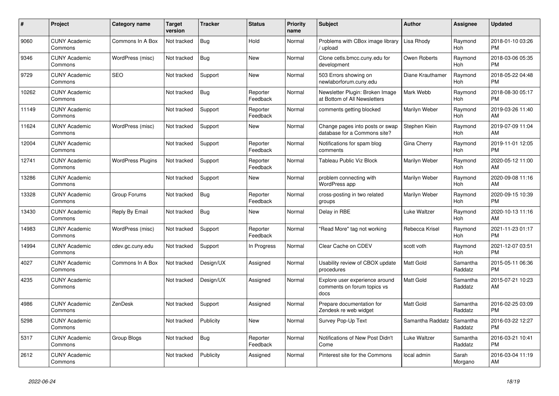| #     | <b>Project</b>                  | <b>Category name</b>     | <b>Target</b><br>version | Tracker    | <b>Status</b>        | <b>Priority</b><br>name | <b>Subject</b>                                                        | <b>Author</b>    | Assignee              | <b>Updated</b>                |
|-------|---------------------------------|--------------------------|--------------------------|------------|----------------------|-------------------------|-----------------------------------------------------------------------|------------------|-----------------------|-------------------------------|
| 9060  | <b>CUNY Academic</b><br>Commons | Commons In A Box         | Not tracked              | Bug        | Hold                 | Normal                  | Problems with CBox image library<br>/ upload                          | Lisa Rhody       | Raymond<br>Hoh        | 2018-01-10 03:26<br><b>PM</b> |
| 9346  | <b>CUNY Academic</b><br>Commons | WordPress (misc)         | Not tracked              | Bug        | <b>New</b>           | Normal                  | Clone cetls.bmcc.cuny.edu for<br>development                          | Owen Roberts     | Raymond<br><b>Hoh</b> | 2018-03-06 05:35<br>PM        |
| 9729  | <b>CUNY Academic</b><br>Commons | <b>SEO</b>               | Not tracked              | Support    | New                  | Normal                  | 503 Errors showing on<br>newlaborforum.cuny.edu                       | Diane Krauthamer | Raymond<br>Hoh        | 2018-05-22 04:48<br>PM        |
| 10262 | <b>CUNY Academic</b><br>Commons |                          | Not tracked              | Bug        | Reporter<br>Feedback | Normal                  | Newsletter Plugin: Broken Image<br>at Bottom of All Newsletters       | Mark Webb        | Raymond<br>Hoh        | 2018-08-30 05:17<br><b>PM</b> |
| 11149 | <b>CUNY Academic</b><br>Commons |                          | Not tracked              | Support    | Reporter<br>Feedback | Normal                  | comments getting blocked                                              | Marilyn Weber    | Raymond<br>Hoh        | 2019-03-26 11:40<br>AM        |
| 11624 | <b>CUNY Academic</b><br>Commons | WordPress (misc)         | Not tracked              | Support    | New                  | Normal                  | Change pages into posts or swap<br>database for a Commons site?       | Stephen Klein    | Raymond<br>Hoh        | 2019-07-09 11:04<br>AM        |
| 12004 | <b>CUNY Academic</b><br>Commons |                          | Not tracked              | Support    | Reporter<br>Feedback | Normal                  | Notifications for spam blog<br>comments                               | Gina Cherry      | Raymond<br>Hoh        | 2019-11-01 12:05<br><b>PM</b> |
| 12741 | <b>CUNY Academic</b><br>Commons | <b>WordPress Plugins</b> | Not tracked              | Support    | Reporter<br>Feedback | Normal                  | Tableau Public Viz Block                                              | Marilyn Weber    | Raymond<br>Hoh        | 2020-05-12 11:00<br>AM        |
| 13286 | <b>CUNY Academic</b><br>Commons |                          | Not tracked              | Support    | New                  | Normal                  | problem connecting with<br>WordPress app                              | Marilyn Weber    | Raymond<br>Hoh        | 2020-09-08 11:16<br>AM        |
| 13328 | <b>CUNY Academic</b><br>Commons | Group Forums             | Not tracked              | <b>Bug</b> | Reporter<br>Feedback | Normal                  | cross-posting in two related<br>groups                                | Marilyn Weber    | Raymond<br><b>Hoh</b> | 2020-09-15 10:39<br><b>PM</b> |
| 13430 | <b>CUNY Academic</b><br>Commons | Reply By Email           | Not tracked              | Bug        | New                  | Normal                  | Delay in RBE                                                          | Luke Waltzer     | Raymond<br>Hoh        | 2020-10-13 11:16<br>AM        |
| 14983 | <b>CUNY Academic</b><br>Commons | WordPress (misc)         | Not tracked              | Support    | Reporter<br>Feedback | Normal                  | 'Read More" tag not working                                           | Rebecca Krisel   | Raymond<br>Hoh        | 2021-11-23 01:17<br><b>PM</b> |
| 14994 | <b>CUNY Academic</b><br>Commons | cdev.gc.cuny.edu         | Not tracked              | Support    | In Progress          | Normal                  | Clear Cache on CDEV                                                   | scott voth       | Raymond<br>Hoh        | 2021-12-07 03:51<br><b>PM</b> |
| 4027  | <b>CUNY Academic</b><br>Commons | Commons In A Box         | Not tracked              | Design/UX  | Assigned             | Normal                  | Usability review of CBOX update<br>procedures                         | Matt Gold        | Samantha<br>Raddatz   | 2015-05-11 06:36<br><b>PM</b> |
| 4235  | <b>CUNY Academic</b><br>Commons |                          | Not tracked              | Design/UX  | Assigned             | Normal                  | Explore user experience around<br>comments on forum topics vs<br>docs | Matt Gold        | Samantha<br>Raddatz   | 2015-07-21 10:23<br>AM        |
| 4986  | <b>CUNY Academic</b><br>Commons | ZenDesk                  | Not tracked              | Support    | Assigned             | Normal                  | Prepare documentation for<br>Zendesk re web widget                    | Matt Gold        | Samantha<br>Raddatz   | 2016-02-25 03:09<br>PM        |
| 5298  | <b>CUNY Academic</b><br>Commons |                          | Not tracked              | Publicity  | <b>New</b>           | Normal                  | Survey Pop-Up Text                                                    | Samantha Raddatz | Samantha<br>Raddatz   | 2016-03-22 12:27<br><b>PM</b> |
| 5317  | <b>CUNY Academic</b><br>Commons | Group Blogs              | Not tracked              | Bug        | Reporter<br>Feedback | Normal                  | Notifications of New Post Didn't<br>Come                              | Luke Waltzer     | Samantha<br>Raddatz   | 2016-03-21 10:41<br><b>PM</b> |
| 2612  | <b>CUNY Academic</b><br>Commons |                          | Not tracked              | Publicity  | Assigned             | Normal                  | Pinterest site for the Commons                                        | local admin      | Sarah<br>Morgano      | 2016-03-04 11:19<br>AM        |